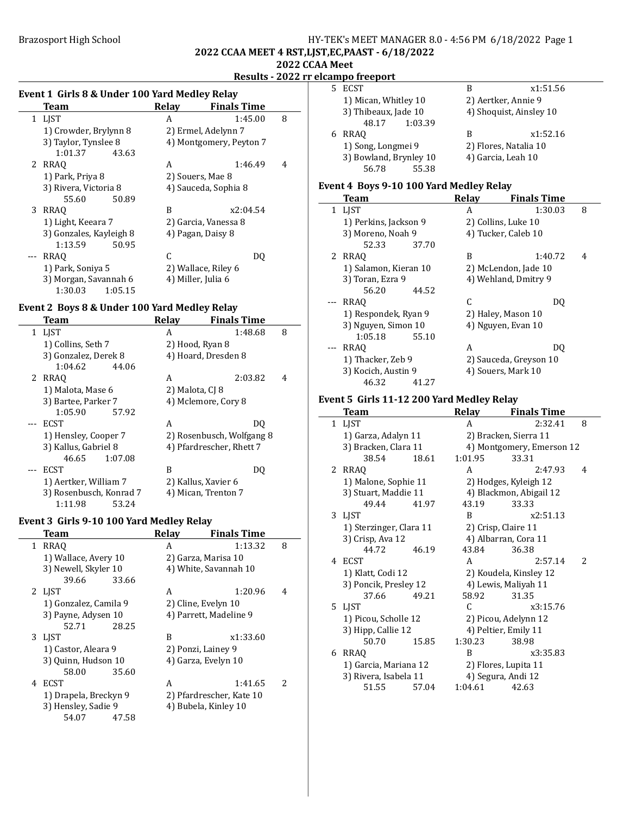### Brazosport High School **HY-TEK's MEET MANAGER 8.0 - 4:56 PM 6/18/2022** Page 1 2022 CCAA MEET 4 RST,LJST,EC,PAAST - 6/18/2022 2022 CCAA Meet

Results - 2022 rr elcampo freeport

# Event 1 Girls 8 & Under 100 Yard Medley Relay

|   | Team                    | Relav | <b>Finals Time</b>      |   |
|---|-------------------------|-------|-------------------------|---|
|   | 1 LIST                  | A     | 1:45.00                 | 8 |
|   | 1) Crowder, Brylynn 8   |       | 2) Ermel, Adelynn 7     |   |
|   | 3) Taylor, Tynslee 8    |       | 4) Montgomery, Peyton 7 |   |
|   | 1:01.37<br>43.63        |       |                         |   |
|   | 2 RRAO                  | A     | 1:46.49                 | 4 |
|   | 1) Park, Priya 8        |       | 2) Souers, Mae 8        |   |
|   | 3) Rivera, Victoria 8   |       | 4) Sauceda, Sophia 8    |   |
|   | 55.60<br>50.89          |       |                         |   |
| 3 | RRAO                    | B     | x2:04.54                |   |
|   | 1) Light, Keeara 7      |       | 2) Garcia, Vanessa 8    |   |
|   | 3) Gonzales, Kayleigh 8 |       | 4) Pagan, Daisy 8       |   |
|   | 1:13.59<br>50.95        |       |                         |   |
|   | <b>RRAO</b>             | C     | DO                      |   |
|   | 1) Park, Soniya 5       |       | 2) Wallace, Riley 6     |   |
|   | 3) Morgan, Savannah 6   |       | 4) Miller, Julia 6      |   |
|   | 1:30.03<br>1:05.15      |       |                         |   |

# Event 2 Boys 8 & Under 100 Yard Medley Relay

| Team                    | <b>Relay</b>              | <b>Finals Time</b>       |  |
|-------------------------|---------------------------|--------------------------|--|
| 1 LJST                  | A                         | 8<br>1:48.68             |  |
| 1) Collins, Seth 7      |                           | 2) Hood, Ryan 8          |  |
| 3) Gonzalez, Derek 8    |                           | 4) Hoard, Dresden 8      |  |
| 1:04.62<br>44.06        |                           |                          |  |
| 2 RRAO                  | A                         | 2:03.82<br>4             |  |
| 1) Malota, Mase 6       | 2) Malota, CJ 8           |                          |  |
| 3) Bartee, Parker 7     |                           | 4) Mclemore, Cory 8      |  |
| 1:05.90<br>57.92        |                           |                          |  |
| ECST                    | A                         | DO                       |  |
| 1) Hensley, Cooper 7    | 2) Rosenbusch, Wolfgang 8 |                          |  |
| 3) Kallus, Gabriel 8    |                           | 4) Pfardrescher, Rhett 7 |  |
| 46.65<br>1:07.08        |                           |                          |  |
| ECST                    | B                         | DO                       |  |
| 1) Aertker, William 7   |                           | 2) Kallus, Xavier 6      |  |
| 3) Rosenbusch, Konrad 7 |                           | 4) Mican, Trenton 7      |  |
| 1:11.98<br>53.24        |                           |                          |  |

# Event 3 Girls 9-10 100 Yard Medley Relay

|   | Team                  |       | Relay               | <b>Finals Time</b>       |               |
|---|-----------------------|-------|---------------------|--------------------------|---------------|
|   | 1 RRAO                |       | A                   | 1:13.32                  | 8             |
|   | 1) Wallace, Avery 10  |       |                     | 2) Garza, Marisa 10      |               |
|   | 3) Newell, Skyler 10  |       |                     | 4) White, Savannah 10    |               |
|   | 39.66                 | 33.66 |                     |                          |               |
|   | 2 LIST                |       | A                   | 1:20.96                  | 4             |
|   | 1) Gonzalez, Camila 9 |       | 2) Cline, Evelyn 10 |                          |               |
|   | 3) Payne, Adysen 10   |       |                     | 4) Parrett, Madeline 9   |               |
|   | 52.71                 | 28.25 |                     |                          |               |
|   | 3 LIST                |       | B                   | x1:33.60                 |               |
|   | 1) Castor, Aleara 9   |       | 2) Ponzi, Lainey 9  |                          |               |
|   | 3) Quinn, Hudson 10   |       |                     | 4) Garza, Evelyn 10      |               |
|   | 58.00                 | 35.60 |                     |                          |               |
| 4 | <b>ECST</b>           |       | A                   | 1:41.65                  | $\mathcal{P}$ |
|   | 1) Drapela, Breckyn 9 |       |                     | 2) Pfardrescher, Kate 10 |               |
|   | 3) Hensley, Sadie 9   |       |                     | 4) Bubela, Kinley 10     |               |
|   | 54.07                 | 47.58 |                     |                          |               |
|   |                       |       |                     |                          |               |

| 5. | ECST                   | R                       | x1:51.56 |
|----|------------------------|-------------------------|----------|
|    | 1) Mican, Whitley 10   | 2) Aertker, Annie 9     |          |
|    | 3) Thibeaux, Jade 10   | 4) Shoquist, Ainsley 10 |          |
|    | 1:03.39<br>48.17       |                         |          |
| 6  | RRAO                   | В                       | x1:52.16 |
|    | 1) Song, Longmei 9     | 2) Flores, Natalia 10   |          |
|    | 3) Bowland, Brynley 10 | 4) Garcia, Leah 10      |          |
|    | 55.38<br>56.78         |                         |          |

#### Event 4 Boys 9-10 100 Yard Medley Relay

| <b>Team</b>           |       | Relay | <b>Finals Time</b>     |   |
|-----------------------|-------|-------|------------------------|---|
| 1 LIST                |       | A     | 1:30.03                | 8 |
| 1) Perkins, Jackson 9 |       |       | 2) Collins, Luke 10    |   |
| 3) Moreno, Noah 9     |       |       | 4) Tucker, Caleb 10    |   |
| 52.33                 | 37.70 |       |                        |   |
| 2 RRAO                |       | B     | 1:40.72                | 4 |
| 1) Salamon, Kieran 10 |       |       | 2) McLendon, Jade 10   |   |
| 3) Toran, Ezra 9      |       |       | 4) Wehland, Dmitry 9   |   |
| 56.20                 | 44.52 |       |                        |   |
| RRAO                  |       | C     | DQ                     |   |
| 1) Respondek, Ryan 9  |       |       | 2) Haley, Mason 10     |   |
| 3) Nguyen, Simon 10   |       |       | 4) Nguyen, Evan 10     |   |
| 1:05.18               | 55.10 |       |                        |   |
| RRAO                  |       | A     | DO                     |   |
| 1) Thacker, Zeb 9     |       |       | 2) Sauceda, Greyson 10 |   |
| 3) Kocich, Austin 9   |       |       | 4) Souers, Mark 10     |   |
| 46.32                 | 41.27 |       |                        |   |

### Event 5 Girls 11-12 200 Yard Medley Relay

| Team                    |       | <b>Relay</b> | <b>Finals Time</b>        |   |
|-------------------------|-------|--------------|---------------------------|---|
| 1 LJST                  |       | A            | 2:32.41                   | 8 |
| 1) Garza, Adalyn 11     |       |              | 2) Bracken, Sierra 11     |   |
| 3) Bracken, Clara 11    |       |              | 4) Montgomery, Emerson 12 |   |
| 38.54                   | 18.61 | 1:01.95      | 33.31                     |   |
| 2 RRAQ                  |       | A            | 2:47.93                   | 4 |
| 1) Malone, Sophie 11    |       |              | 2) Hodges, Kyleigh 12     |   |
| 3) Stuart, Maddie 11    |       |              | 4) Blackmon, Abigail 12   |   |
| 49.44                   | 41.97 | 43.19        | 33.33                     |   |
| 3 LJST                  |       | B            | x2:51.13                  |   |
| 1) Sterzinger, Clara 11 |       |              | 2) Crisp, Claire 11       |   |
| 3) Crisp, Ava 12        |       |              | 4) Albarran, Cora 11      |   |
| 44.72                   | 46.19 | 43.84        | 36.38                     |   |
| 4 ECST                  |       | A            | 2:57.14                   | 2 |
| 1) Klatt, Codi 12       |       |              | 2) Koudela, Kinsley 12    |   |
| 3) Poncik, Presley 12   |       |              | 4) Lewis, Maliyah 11      |   |
| 37.66                   | 49.21 | 58.92        | 31.35                     |   |
| 5 LJST                  |       | C            | x3:15.76                  |   |
| 1) Picou, Scholle 12    |       |              | 2) Picou, Adelynn 12      |   |
| 3) Hipp, Callie 12      |       |              | 4) Peltier, Emily 11      |   |
| 50.70                   | 15.85 | 1:30.23      | 38.98                     |   |
| 6 RRAO                  |       | B            | x3:35.83                  |   |
| 1) Garcia, Mariana 12   |       |              | 2) Flores, Lupita 11      |   |
| 3) Rivera, Isabela 11   |       |              | 4) Segura, Andi 12        |   |
| 51.55                   | 57.04 | 1:04.61      | 42.63                     |   |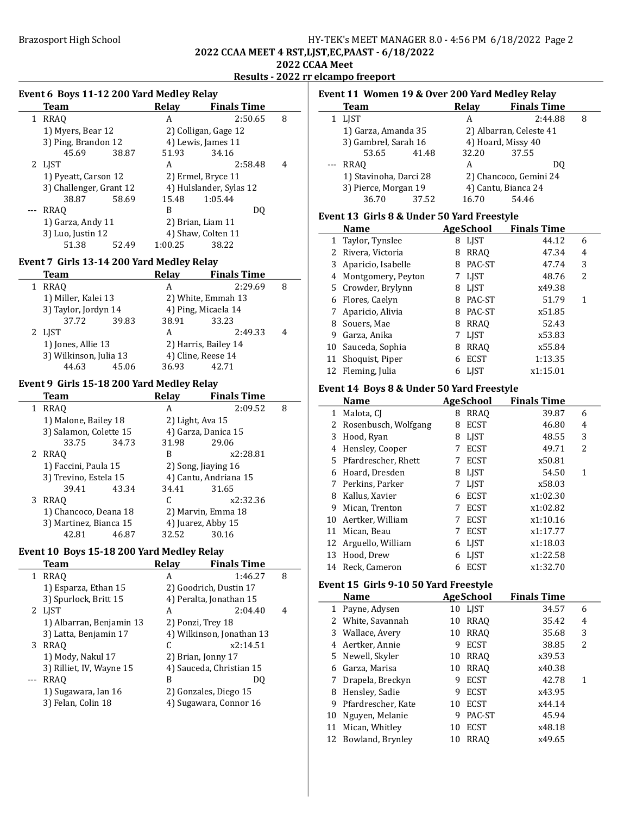# Brazosport High School **HY-TEK's MEET MANAGER 8.0 - 4:56 PM 6/18/2022** Page 2 2022 CCAA MEET 4 RST,LJST,EC,PAAST - 6/18/2022 2022 CCAA Meet

Results - 2022 rr elcampo freeport

#### Event 6 Boys 11-12 200 Yard Medley Relay

| Team                    |       | Relay                   | <b>Finals Time</b>   |   |
|-------------------------|-------|-------------------------|----------------------|---|
| 1 RRAO                  |       | A                       | 2:50.65              | 8 |
| 1) Myers, Bear 12       |       |                         | 2) Colligan, Gage 12 |   |
| 3) Ping, Brandon 12     |       |                         | 4) Lewis, James 11   |   |
| 45.69                   | 38.87 | 51.93                   | 34.16                |   |
| 2 LIST                  |       | A                       | 2:58.48              | 4 |
| 1) Pyeatt, Carson 12    |       |                         | 2) Ermel, Bryce 11   |   |
| 3) Challenger, Grant 12 |       | 4) Hulslander, Sylas 12 |                      |   |
| 38.87                   | 58.69 | 15.48                   | 1:05.44              |   |
| <b>RRAO</b>             |       | B                       | DO                   |   |
| 1) Garza, Andy 11       |       |                         | 2) Brian, Liam 11    |   |
| 3) Luo, Justin 12       |       |                         | 4) Shaw, Colten 11   |   |
| 51.38                   | 52.49 | 1:00.25                 | 38.22                |   |

# Event 7 Girls 13-14 200 Yard Medley Relay

|  | <b>Team</b>                                  |       | Relay | <b>Finals Time</b>   |   |
|--|----------------------------------------------|-------|-------|----------------------|---|
|  | 1 RRAO                                       |       | А     | 2:29.69              | 8 |
|  | 1) Miller, Kalei 13                          |       |       | 2) White, Emmah 13   |   |
|  | 3) Taylor, Jordyn 14                         |       |       | 4) Ping, Micaela 14  |   |
|  | 37.72                                        | 39.83 | 38.91 | 33.23                |   |
|  | 2 LJST                                       |       | А     | 2:49.33              |   |
|  | 1) Jones, Allie 13<br>3) Wilkinson, Julia 13 |       |       | 2) Harris, Bailey 14 |   |
|  |                                              |       |       | 4) Cline, Reese 14   |   |
|  | 44.63                                        | 45.06 | 36.93 | 42.71                |   |

#### Event 9 Girls 15-18 200 Yard Medley Relay

|   | Team                   |       | Relav                 | <b>Finals Time</b>  |   |
|---|------------------------|-------|-----------------------|---------------------|---|
| 1 | <b>RRAO</b>            |       | А                     | 2:09.52             | 8 |
|   | 1) Malone, Bailey 18   |       | 2) Light, Ava 15      |                     |   |
|   | 3) Salamon, Colette 15 |       |                       | 4) Garza, Danica 15 |   |
|   | 33.75                  | 34.73 | 31.98                 | 29.06               |   |
| 2 | RRAO                   |       | B                     | x2:28.81            |   |
|   | 1) Faccini, Paula 15   |       | 2) Song, Jiaying 16   |                     |   |
|   | 3) Trevino, Estela 15  |       | 4) Cantu, Andriana 15 |                     |   |
|   | 39.41                  | 43.34 | 34.41                 | 31.65               |   |
| 3 | <b>RRAO</b>            |       |                       | x2:32.36            |   |
|   | 1) Chancoco, Deana 18  |       |                       | 2) Marvin, Emma 18  |   |
|   | 3) Martinez, Bianca 15 |       |                       | 4) Juarez, Abby 15  |   |
|   | 42.81                  | 46.87 | 32.52                 | 30.16               |   |

### Event 10 Boys 15-18 200 Yard Medley Relay

|   | <b>Team</b>              | Relav | <b>Finals Time</b>        |   |
|---|--------------------------|-------|---------------------------|---|
| 1 | RRAO                     | А     | 1:46.27                   | 8 |
|   | 1) Esparza, Ethan 15     |       | 2) Goodrich, Dustin 17    |   |
|   | 3) Spurlock, Britt 15    |       | 4) Peralta, Jonathan 15   |   |
|   | 2 LJST                   | A     | 2:04.40                   | 4 |
|   | 1) Albarran, Benjamin 13 |       | 2) Ponzi, Trey 18         |   |
|   | 3) Latta, Benjamin 17    |       | 4) Wilkinson, Jonathan 13 |   |
|   | 3 RRAQ                   |       | x2:14.51                  |   |
|   | 1) Mody, Nakul 17        |       | 2) Brian, Jonny 17        |   |
|   | 3) Rilliet, IV, Wayne 15 |       | 4) Sauceda, Christian 15  |   |
|   | <b>RRAO</b>              | B     | DO                        |   |
|   | 1) Sugawara, Ian 16      |       | 2) Gonzales, Diego 15     |   |
|   | 3) Felan, Colin 18       |       | 4) Sugawara, Connor 16    |   |
|   |                          |       |                           |   |

#### Event 11 Women 19 & Over 200 Yard Medley Relay Team Relay Finals Time<br>1 LIST A 2:44.88 A 2:44.88 8 1) Garza, Amanda 35 2) Albarran, Celeste 41<br>3) Gambrel, Sarah 16 4) Hoard, Missy 40 3) Gambrel, Sarah 16  $\qquad$  4) Hoard, Missy 4<br>53.65  $\qquad$  41.48  $\qquad$  32.20  $\qquad$  37.55 41.48 --- RRAQ A DO 1) Stavinoha, Darci 28 2) Chancoco, Gemini 24<br>3) Pierce, Morgan 19 4) Cantu, Bianca 24 3) Pierce, Morgan 19 4) Cantu, Bianca 2<br>36.70 37.52 16.70 54.46 37.52

### Event 13 Girls 8 & Under 50 Yard Freestyle

|    | <b>Name</b>          |   | AgeSchool   | <b>Finals Time</b> |   |
|----|----------------------|---|-------------|--------------------|---|
|    | 1 Taylor, Tynslee    | 8 | <b>LIST</b> | 44.12              | 6 |
|    | 2 Rivera, Victoria   | 8 | <b>RRAO</b> | 47.34              | 4 |
|    | 3 Aparicio, Isabelle | 8 | PAC-ST      | 47.74              | 3 |
|    | 4 Montgomery, Peyton | 7 | LJST        | 48.76              | 2 |
|    | 5 Crowder, Brylynn   | 8 | <b>LIST</b> | x49.38             |   |
| 6  | Flores, Caelyn       | 8 | PAC-ST      | 51.79              | 1 |
|    | 7 Aparicio, Alivia   | 8 | PAC-ST      | x51.85             |   |
| 8  | Souers, Mae          | 8 | <b>RRAO</b> | 52.43              |   |
| 9  | Garza, Anika         |   | <b>LIST</b> | x53.83             |   |
|    | 10 Sauceda, Sophia   | 8 | <b>RRAO</b> | x55.84             |   |
| 11 | Shoquist, Piper      |   | <b>ECST</b> | 1:13.35            |   |
|    | 12 Fleming, Julia    |   | <b>LIST</b> | x1:15.01           |   |

### Event 14 Boys 8 & Under 50 Yard Freestyle

| <b>Name</b> |                      |   | AgeSchool   | <b>Finals Time</b> |   |  |
|-------------|----------------------|---|-------------|--------------------|---|--|
| 1           | Malota, CI           | 8 | <b>RRAO</b> | 39.87              | 6 |  |
| 2           | Rosenbusch, Wolfgang | 8 | <b>ECST</b> | 46.80              | 4 |  |
| 3           | Hood, Ryan           | 8 | <b>LIST</b> | 48.55              | 3 |  |
| 4           | Hensley, Cooper      | 7 | <b>ECST</b> | 49.71              | 2 |  |
| 5.          | Pfardrescher, Rhett  |   | <b>ECST</b> | x50.81             |   |  |
| 6           | Hoard, Dresden       | 8 | <b>LIST</b> | 54.50              | 1 |  |
| 7           | Perkins, Parker      |   | <b>LIST</b> | x58.03             |   |  |
| 8           | Kallus, Xavier       | 6 | <b>ECST</b> | x1:02.30           |   |  |
| 9           | Mican, Trenton       |   | <b>ECST</b> | x1:02.82           |   |  |
| 10          | Aertker, William     |   | <b>ECST</b> | x1:10.16           |   |  |
| 11          | Mican, Beau          |   | <b>ECST</b> | x1:17.77           |   |  |
| 12          | Arguello, William    | 6 | <b>LIST</b> | x1:18.03           |   |  |
| 13          | Hood, Drew           | 6 | <b>LIST</b> | x1:22.58           |   |  |
| 14          | Reck, Cameron        | 6 | <b>ECST</b> | x1:32.70           |   |  |

### Event 15 Girls 9-10 50 Yard Freestyle

|    | Name                |    | <b>AgeSchool</b> | <b>Finals Time</b> |   |  |
|----|---------------------|----|------------------|--------------------|---|--|
|    | 1 Payne, Adysen     |    | 10 LIST          | 34.57              | 6 |  |
|    | 2 White, Savannah   | 10 | RRAQ             | 35.42              | 4 |  |
|    | 3 Wallace, Avery    | 10 | <b>RRAO</b>      | 35.68              | 3 |  |
|    | 4 Aertker, Annie    | 9  | <b>ECST</b>      | 38.85              | 2 |  |
|    | 5 Newell, Skyler    | 10 | <b>RRAO</b>      | x39.53             |   |  |
| 6  | Garza, Marisa       | 10 | <b>RRAO</b>      | x40.38             |   |  |
|    | 7 Drapela, Breckyn  | 9  | <b>ECST</b>      | 42.78              | 1 |  |
| 8  | Hensley, Sadie      | 9  | <b>ECST</b>      | x43.95             |   |  |
| 9  | Pfardrescher, Kate  | 10 | <b>ECST</b>      | x44.14             |   |  |
|    | 10 Nguyen, Melanie  | 9  | PAC-ST           | 45.94              |   |  |
| 11 | Mican, Whitley      | 10 | <b>ECST</b>      | x48.18             |   |  |
|    | 12 Bowland, Brynley | 10 | <b>RRAO</b>      | x49.65             |   |  |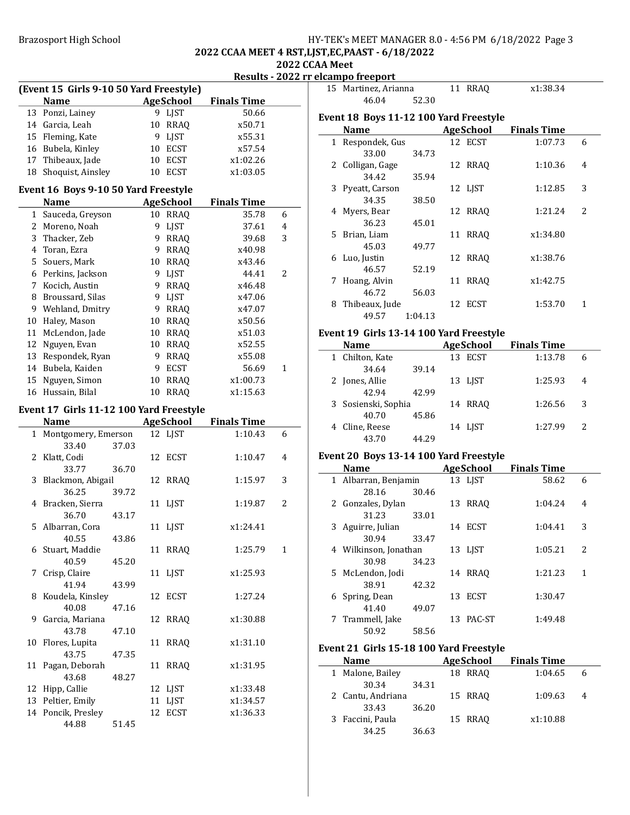# Brazosport High School **HY-TEK's MEET MANAGER 8.0 - 4:56 PM 6/18/2022** Page 3

#### 2022 CCAA MEET 4 RST,LJST,EC,PAAST - 6/18/2022 2022 CCAA Meet

Results - 2022 rr elcampo freeport

|              | (Event 15 Girls 9-10 50 Yard Freestyle) |    |                  |                    |                |
|--------------|-----------------------------------------|----|------------------|--------------------|----------------|
|              | <b>Name</b>                             |    | <b>AgeSchool</b> | <b>Finals Time</b> |                |
| 13           | Ponzi, Lainey                           |    | 9 LJST           | 50.66              |                |
|              | 14 Garcia, Leah                         |    | 10 RRAQ          | x50.71             |                |
|              | 15 Fleming, Kate                        | 9  | LJST             | x55.31             |                |
|              | 16 Bubela, Kinley                       |    | 10 ECST          | x57.54             |                |
|              | 17 Thibeaux, Jade                       | 10 | ECST             | x1:02.26           |                |
| 18           | Shoquist, Ainsley                       | 10 | <b>ECST</b>      | x1:03.05           |                |
|              | Event 16 Boys 9-10 50 Yard Freestyle    |    |                  |                    |                |
|              | Name                                    |    | <b>AgeSchool</b> | <b>Finals Time</b> |                |
| $\mathbf{1}$ | Sauceda, Greyson                        |    | 10 RRAQ          | 35.78              | 6              |
| 2            | Moreno, Noah                            | 9  | <b>LJST</b>      | 37.61              | 4              |
| 3            | Thacker, Zeb                            | 9  | <b>RRAQ</b>      | 39.68              | 3              |
|              | 4 Toran, Ezra                           |    | 9 RRAQ           | x40.98             |                |
| 5            | Souers, Mark                            |    | 10 RRAQ          | x43.46             |                |
|              | 6 Perkins, Jackson                      | 9  | LJST             | 44.41              | $\overline{2}$ |
| 7            | Kocich, Austin                          | 9  | <b>RRAQ</b>      | x46.48             |                |
| 8            | Broussard, Silas                        | 9  | <b>LJST</b>      | x47.06             |                |
| 9            | Wehland, Dmitry                         |    | 9 RRAQ           | x47.07             |                |
| 10           | Haley, Mason                            | 10 | <b>RRAQ</b>      | x50.56             |                |
| 11           | McLendon, Jade                          | 10 | <b>RRAQ</b>      | x51.03             |                |
| 12           | Nguyen, Evan                            | 10 | RRAQ             | x52.55             |                |
| 13           | Respondek, Ryan                         | 9  | RRAQ             | x55.08             |                |
| 14           | Bubela, Kaiden                          | 9  | <b>ECST</b>      | 56.69              | 1              |
| 15           | Nguyen, Simon                           | 10 | <b>RRAQ</b>      | x1:00.73           |                |
| 16           | Hussain, Bilal                          | 10 | <b>RRAQ</b>      | x1:15.63           |                |
|              |                                         |    |                  |                    |                |
|              | Event 17 Girls 11-12 100 Yard Freestyle |    |                  |                    |                |
|              | <b>Name</b>                             |    | <b>AgeSchool</b> | <b>Finals Time</b> |                |
| $\mathbf{1}$ | Montgomery, Emerson                     |    | 12 LJST          | 1:10.43            | 6              |
|              | 33.40<br>37.03                          |    |                  |                    |                |
| 2            | Klatt, Codi                             | 12 | <b>ECST</b>      | 1:10.47            | 4              |
|              | 33.77<br>36.70                          |    |                  |                    |                |
| 3            | Blackmon, Abigail                       | 12 | <b>RRAQ</b>      | 1:15.97            | 3              |
|              | 36.25<br>39.72                          |    |                  |                    |                |
| 4            | Bracken, Sierra                         | 11 | LJST             | 1:19.87            | 2              |
| 5            | 36.70<br>43.17                          |    |                  | x1:24.41           |                |
|              | Albarran, Cora<br>40.55                 | 11 | <b>LJST</b>      |                    |                |
| 6            | 43.86<br>Stuart, Maddie                 | 11 | <b>RRAQ</b>      | 1:25.79            | $\mathbf{1}$   |
|              | 40.59<br>45.20                          |    |                  |                    |                |
| 7            | Crisp, Claire                           | 11 | <b>LIST</b>      | x1:25.93           |                |
|              | 41.94<br>43.99                          |    |                  |                    |                |
| 8            | Koudela, Kinsley                        | 12 | ECST             | 1:27.24            |                |
|              | 40.08<br>47.16                          |    |                  |                    |                |
| 9            | Garcia, Mariana                         | 12 | <b>RRAQ</b>      | x1:30.88           |                |
|              | 43.78<br>47.10                          |    |                  |                    |                |
| 10           | Flores, Lupita                          | 11 | <b>RRAQ</b>      | x1:31.10           |                |
|              | 43.75<br>47.35                          |    |                  |                    |                |
| 11           | Pagan, Deborah                          | 11 | <b>RRAQ</b>      | x1:31.95           |                |
|              | 43.68<br>48.27                          |    |                  |                    |                |
| 12           | Hipp, Callie                            | 12 | <b>LJST</b>      | x1:33.48           |                |
| 13           | Peltier, Emily                          | 11 | <b>LJST</b>      | x1:34.57           |                |
| 14           | Poncik, Presley                         | 12 | <b>ECST</b>      | x1:36.33           |                |
|              |                                         |    |                  |                    |                |
|              | 44.88<br>51.45                          |    |                  |                    |                |

|   | 15 Martinez, Arianna                   |         | 11 RRAO   | x1:38.34           |                |
|---|----------------------------------------|---------|-----------|--------------------|----------------|
|   | 46.04                                  | 52.30   |           |                    |                |
|   | Event 18 Boys 11-12 100 Yard Freestyle |         |           |                    |                |
|   | Name                                   |         | AgeSchool | <b>Finals Time</b> |                |
|   | 1 Respondek, Gus                       |         | 12 ECST   | 1:07.73            | 6              |
|   | 33.00                                  | 34.73   |           |                    |                |
|   | 2 Colligan, Gage                       |         | 12 RRAQ   | 1:10.36            | 4              |
|   | 34.42                                  | 35.94   |           |                    |                |
|   | 3 Pyeatt, Carson                       |         | 12 LJST   | 1:12.85            | 3              |
|   | 34.35                                  | 38.50   |           |                    |                |
|   | 4 Myers, Bear                          |         | 12 RRAO   | 1:21.24            | $\overline{2}$ |
|   | 36.23                                  | 45.01   |           |                    |                |
|   | 5 Brian, Liam                          |         | 11 RRAO   | x1:34.80           |                |
|   | 45.03                                  | 49.77   |           |                    |                |
|   | 6 Luo, Justin                          |         | 12 RRAO   | x1:38.76           |                |
|   | 46.57                                  | 52.19   |           |                    |                |
| 7 | Hoang, Alvin                           |         | 11 RRAQ   | x1:42.75           |                |
|   | 46.72                                  | 56.03   |           |                    |                |
| 8 | Thibeaux, Jude                         |         | 12 ECST   | 1:53.70            | 1              |
|   | 49.57                                  | 1:04.13 |           |                    |                |
|   |                                        |         |           |                    |                |

### Event 19 Girls 13-14 100 Yard Freestyle

| <b>Name</b>         |       | <b>AgeSchool</b> | <b>Finals Time</b> |               |
|---------------------|-------|------------------|--------------------|---------------|
| 1 Chilton, Kate     |       | 13 ECST          | 1:13.78            | 6             |
| 34.64               | 39.14 |                  |                    |               |
| 2 Jones, Allie      |       | 13 LJST          | 1:25.93            | 4             |
| 42.94               | 42.99 |                  |                    |               |
| 3 Sosienski, Sophia |       | 14 RRAO          | 1:26.56            | 3             |
| 40.70               | 45.86 |                  |                    |               |
| 4 Cline, Reese      |       | 14 LIST          | 1:27.99            | $\mathcal{P}$ |
| 43.70               | 44.29 |                  |                    |               |

# Event 20 Boys 13-14 100 Yard Freestyle

| <b>Name</b> |                       |       | AgeSchool | <b>Finals Time</b> |         |   |
|-------------|-----------------------|-------|-----------|--------------------|---------|---|
|             | 1 Albarran, Benjamin  |       |           | 13 LIST            | 58.62   | 6 |
|             | 28.16                 | 30.46 |           |                    |         |   |
|             | 2 Gonzales, Dylan     |       | 13        | <b>RRAO</b>        | 1:04.24 | 4 |
|             | 31.23                 | 33.01 |           |                    |         |   |
|             | 3 Aguirre, Julian     |       |           | 14 ECST            | 1:04.41 | 3 |
|             | 30.94                 | 33.47 |           |                    |         |   |
|             | 4 Wilkinson, Jonathan |       |           | 13 LIST            | 1:05.21 | 2 |
|             | 30.98                 | 34.23 |           |                    |         |   |
|             | 5 McLendon, Jodi      |       |           | 14 RRAO            | 1:21.23 | 1 |
|             | 38.91                 | 42.32 |           |                    |         |   |
|             | 6 Spring, Dean        |       | 13        | ECST               | 1:30.47 |   |
|             | 41.40                 | 49.07 |           |                    |         |   |
| 7           | Trammell, Jake        |       | 13        | PAC-ST             | 1:49.48 |   |
|             | 50.92                 | 58.56 |           |                    |         |   |

# Event 21 Girls 15-18 100 Yard Freestyle

| <b>Name</b>       |       | <b>AgeSchool</b> | <b>Finals Time</b> |   |  |
|-------------------|-------|------------------|--------------------|---|--|
| 1 Malone, Bailey  |       | 18 RRAO          | 1:04.65            |   |  |
| 30.34             | 34.31 |                  |                    |   |  |
| 2 Cantu, Andriana |       | 15 RRAO          | 1:09.63            | 4 |  |
| 33.43             | 36.20 |                  |                    |   |  |
| 3 Faccini, Paula  |       | 15 RRAO          | x1:10.88           |   |  |
| 34.25             | 36.63 |                  |                    |   |  |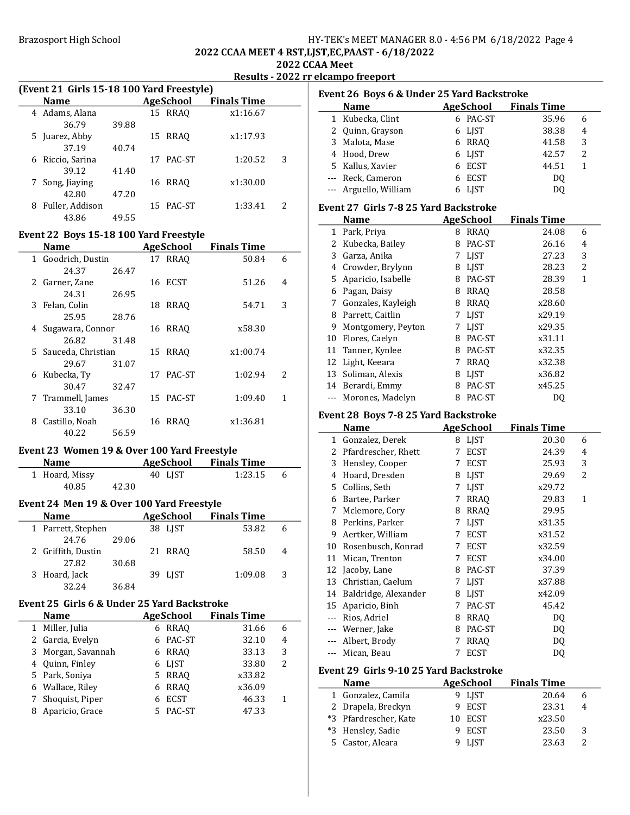### Brazosport High School **HY-TEK's MEET MANAGER 8.0 - 4:56 PM 6/18/2022** Page 4 2022 CCAA MEET 4 RST,LJST,EC,PAAST - 6/18/2022 2022 CCAA Meet

# Results - 2022 rr elcampo freeport

| (Event 21 Girls 15-18 100 Yard Freestyle) |  |  |  |
|-------------------------------------------|--|--|--|
|                                           |  |  |  |

| Name                 |       | <b>AgeSchool</b> | <b>Finals Time</b> |   |  |
|----------------------|-------|------------------|--------------------|---|--|
| 4 Adams, Alana       |       | 15 RRAO          | x1:16.67           |   |  |
| 36.79                | 39.88 |                  |                    |   |  |
| 5 Juarez, Abby       |       | 15 RRAO          | x1:17.93           |   |  |
| 37.19                | 40.74 |                  |                    |   |  |
| Riccio, Sarina<br>6  |       | PAC-ST<br>17     | 1:20.52            | 3 |  |
| 39.12                | 41.40 |                  |                    |   |  |
| 7 Song, Jiaying      |       | 16 RRAO          | x1:30.00           |   |  |
| 42.80                | 47.20 |                  |                    |   |  |
| Fuller, Addison<br>8 |       | PAC-ST<br>15.    | 1:33.41            | 2 |  |
| 43.86                | 49.55 |                  |                    |   |  |

#### Event 22 Boys 15-18 100 Yard Freestyle

|   | Name                 |       | <b>AgeSchool</b> | <b>Finals Time</b> |   |
|---|----------------------|-------|------------------|--------------------|---|
|   | 1 Goodrich, Dustin   |       | 17 RRAO          | 50.84              | 6 |
|   | 24.37                | 26.47 |                  |                    |   |
|   | 2 Garner, Zane       |       | 16 ECST          | 51.26              | 4 |
|   | 24.31                | 26.95 |                  |                    |   |
|   | 3 Felan, Colin       |       | 18 RRAO          | 54.71              | 3 |
|   | 25.95                | 28.76 |                  |                    |   |
|   | 4 Sugawara, Connor   |       | <b>16 RRAO</b>   | x58.30             |   |
|   | 26.82                | 31.48 |                  |                    |   |
|   | 5 Sauceda, Christian |       | 15 RRAO          | x1:00.74           |   |
|   | 29.67                | 31.07 |                  |                    |   |
| 6 | Kubecka, Ty          |       | 17 PAC-ST        | 1:02.94            | 2 |
|   | 30.47                | 32.47 |                  |                    |   |
| 7 | Trammell, James      |       | 15 PAC-ST        | 1:09.40            | 1 |
|   | 33.10                | 36.30 |                  |                    |   |
| 8 | Castillo, Noah       |       | <b>16 RRAO</b>   | x1:36.81           |   |
|   | 40.22                | 56.59 |                  |                    |   |

### Event 23 Women 19 & Over 100 Yard Freestyle

| <b>Name</b>    |       | AgeSchool | <b>Finals Time</b> |         |              |
|----------------|-------|-----------|--------------------|---------|--------------|
| 1 Hoard, Missy |       | 40 LIST   |                    | 1:23.15 | $\mathsf{f}$ |
| 40.85          | 42.30 |           |                    |         |              |

# Event 24 Men 19 & Over 100 Yard Freestyle

| <b>Name</b>        |       | AgeSchool |         | <b>Finals Time</b> |   |
|--------------------|-------|-----------|---------|--------------------|---|
| 1 Parrett, Stephen |       |           | 38 LIST | 53.82              |   |
| 24.76              | 29.06 |           |         |                    |   |
| 2 Griffith, Dustin |       |           | 21 RRAO | 58.50              | 4 |
| 27.82              | 30.68 |           |         |                    |   |
| 3 Hoard, Jack      |       |           | 39 LJST | 1:09.08            | 3 |
| 32.24              | 36.84 |           |         |                    |   |

# Event 25 Girls 6 & Under 25 Yard Backstroke

| <b>Name</b>        | <b>AgeSchool</b> | <b>Finals Time</b> |   |  |
|--------------------|------------------|--------------------|---|--|
| 1 Miller, Julia    | 6 RRAO           | 31.66              | 6 |  |
| 2 Garcia, Evelyn   | PAC-ST           | 32.10              | 4 |  |
| 3 Morgan, Savannah | RRAO<br>6        | 33.13              | 3 |  |
| 4 Quinn, Finley    | 6 LIST           | 33.80              | 2 |  |
| 5 Park, Soniya     | 5 RRAO           | x33.82             |   |  |
| 6 Wallace, Riley   | RRAO<br>6.       | x36.09             |   |  |
| 7 Shoquist, Piper  | <b>ECST</b><br>6 | 46.33              | 1 |  |
| Aparicio, Grace    | PAC-ST           | 47.33              |   |  |
|                    |                  |                    |   |  |

|               | Event 26 Boys 6 & Under 25 Yard Backstroke |   |                  |                    |                |
|---------------|--------------------------------------------|---|------------------|--------------------|----------------|
|               | <b>Name</b>                                |   | AgeSchool        | <b>Finals Time</b> |                |
| $\mathbf{1}$  | Kubecka, Clint                             |   | 6 PAC-ST         | 35.96              | 6              |
| $\mathcal{L}$ | Quinn, Grayson                             | 6 | <b>LIST</b>      | 38.38              | 4              |
|               | 3 Malota, Mase                             | 6 | RRAO             | 41.58              | 3              |
|               | 4 Hood, Drew                               | 6 | <b>LJST</b>      | 42.57              | 2              |
|               | 5 Kallus, Xavier                           | 6 | <b>ECST</b>      | 44.51              | 1              |
|               | --- Reck, Cameron                          | 6 | <b>ECST</b>      | DO.                |                |
|               | Arguello, William                          | 6 | LJST             | DQ                 |                |
|               | Event 27 Girls 7-8 25 Yard Backstroke      |   |                  |                    |                |
|               | <b>Name</b>                                |   | <b>AgeSchool</b> | <b>Finals Time</b> |                |
|               | 1 Park, Priya                              | 8 | <b>RRAO</b>      | 24.08              | 6              |
| 2             | Kubecka, Bailey                            | 8 | PAC-ST           | 26.16              | 4              |
| 3             | Garza, Anika                               | 7 | LJST             | 27.23              | 3              |
|               | 4 Crowder, Brylynn                         | 8 | LIST             | 28.23              | $\overline{c}$ |
| 5.            | Aparicio, Isabelle                         | 8 | PAC-ST           | 28.39              | 1              |
| 6             | Pagan, Daisy                               | 8 | RRAO             | 28.58              |                |
| 7             | Gonzales, Kayleigh                         | 8 | <b>RRAQ</b>      | x28.60             |                |
|               | 8 Parrett, Caitlin                         | 7 | <b>LJST</b>      | x29.19             |                |
|               | 9 Montgomery, Peyton                       | 7 | <b>LIST</b>      | x29.35             |                |
| 10            | Flores, Caelyn                             | 8 | PAC-ST           | x31.11             |                |
| 11            | Tanner, Kynlee                             | 8 | PAC-ST           | x32.35             |                |
| 12            | Light, Keeara                              | 7 | <b>RRAO</b>      | x32.38             |                |
|               | 13 Soliman, Alexis                         | 8 | <b>LIST</b>      | x36.82             |                |
|               | 14 Berardi, Emmy                           | 8 | PAC-ST           | x45.25             |                |
|               | Morones, Madelyn                           | 8 | PAC-ST           | DQ                 |                |

### Event 28 Boys 7-8 25 Yard Backstroke

|       | Name                 |   | <b>AgeSchool</b> | <b>Finals Time</b> |   |
|-------|----------------------|---|------------------|--------------------|---|
| 1     | Gonzalez, Derek      | 8 | LJST             | 20.30              | 6 |
| 2     | Pfardrescher, Rhett  | 7 | ECST             | 24.39              | 4 |
| 3     | Hensley, Cooper      | 7 | <b>ECST</b>      | 25.93              | 3 |
| 4     | Hoard, Dresden       | 8 | <b>LIST</b>      | 29.69              | 2 |
| 5     | Collins, Seth        | 7 | <b>LIST</b>      | x29.72             |   |
| 6     | Bartee, Parker       | 7 | RRAQ             | 29.83              | 1 |
| 7     | Mclemore, Cory       | 8 | <b>RRAO</b>      | 29.95              |   |
| 8     | Perkins, Parker      | 7 | LJST             | x31.35             |   |
| 9     | Aertker, William     | 7 | <b>ECST</b>      | x31.52             |   |
| 10    | Rosenbusch, Konrad   | 7 | <b>ECST</b>      | x32.59             |   |
| 11    | Mican, Trenton       | 7 | <b>ECST</b>      | x34.00             |   |
| 12    | Jacoby, Lane         | 8 | PAC-ST           | 37.39              |   |
| 13    | Christian, Caelum    | 7 | <b>LIST</b>      | x37.88             |   |
| 14    | Baldridge, Alexander | 8 | <b>LIST</b>      | x42.09             |   |
| 15    | Aparicio, Binh       | 7 | PAC-ST           | 45.42              |   |
|       | Rios, Adriel         | 8 | <b>RRAO</b>      | DQ                 |   |
| $---$ | Werner, Jake         | 8 | PAC-ST           | D <sub>0</sub>     |   |
|       | Albert, Brody        | 7 | <b>RRAO</b>      | DQ                 |   |
|       | Mican, Beau          | 7 | <b>ECST</b>      | DQ                 |   |

### Event 29 Girls 9-10 25 Yard Backstroke

| <b>Name</b>           | AgeSchool | <b>Finals Time</b> |   |
|-----------------------|-----------|--------------------|---|
| 1 Gonzalez, Camila    | 9 LIST    | 20.64              |   |
| 2 Drapela, Breckyn    | 9 ECST    | 23.31              | 4 |
| *3 Pfardrescher, Kate | 10 ECST   | x23.50             |   |
| *3 Hensley, Sadie     | ECST      | 23.50              | 3 |
| 5 Castor, Aleara      | LIST      | 23.63              |   |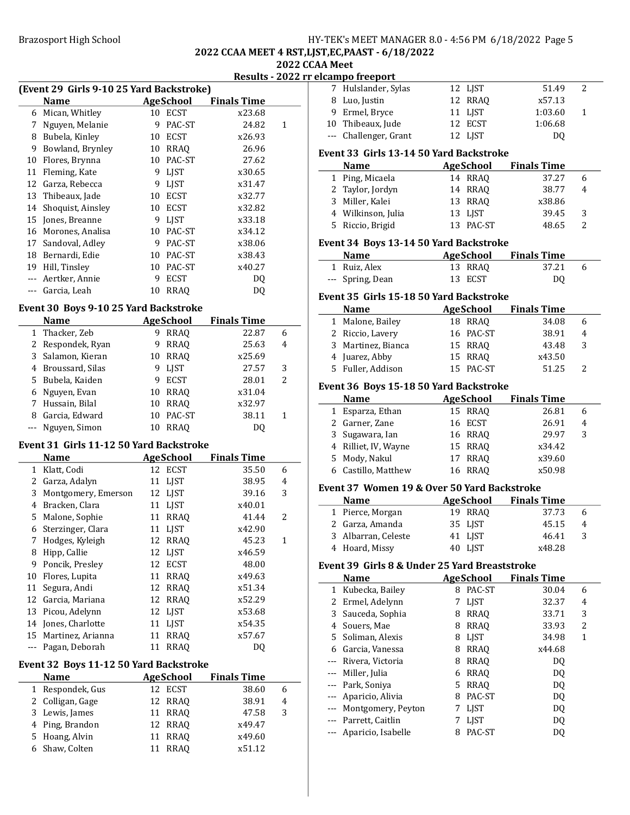### Brazosport High School **HY-TEK's MEET MANAGER 8.0 - 4:56 PM 6/18/2022** Page 5 2022 CCAA MEET 4 RST,LJST,EC,PAAST - 6/18/2022 2022 CCAA Meet

# Results - 2022 rr elcampo freeport

|                | (Event 29 Girls 9-10 25 Yard Backstroke) |    |             |                    |   |
|----------------|------------------------------------------|----|-------------|--------------------|---|
|                | Name                                     |    | AgeSchool   | <b>Finals Time</b> |   |
| 6              | Mican, Whitley                           | 10 | <b>ECST</b> | x23.68             |   |
| 7              | Nguyen, Melanie                          | 9  | PAC-ST      | 24.82              | 1 |
| 8              | Bubela, Kinley                           | 10 | <b>ECST</b> | x26.93             |   |
| 9              | Bowland, Brynley                         | 10 | RRAQ        | 26.96              |   |
| 10             | Flores, Brynna                           | 10 | PAC-ST      | 27.62              |   |
| 11             | Fleming, Kate                            | 9  | LJST        | x30.65             |   |
| 12             | Garza, Rebecca                           | 9  | LJST        | x31.47             |   |
| 13             | Thibeaux, Jade                           | 10 | ECST        | x32.77             |   |
| 14             | Shoquist, Ainsley                        | 10 | <b>ECST</b> | x32.82             |   |
| 15             | Jones, Breanne                           | 9  | LIST        | x33.18             |   |
| 16             | Morones, Analisa                         | 10 | PAC-ST      | x34.12             |   |
| 17             | Sandoval, Adley                          | 9  | PAC-ST      | x38.06             |   |
| 18             | Bernardi, Edie                           | 10 | PAC-ST      | x38.43             |   |
| 19             | Hill, Tinsley                            | 10 | PAC-ST      | x40.27             |   |
|                | Aertker, Annie                           | 9  | ECST        | DQ                 |   |
| $\overline{a}$ | Garcia, Leah                             | 10 | <b>RRAQ</b> | DQ                 |   |
|                | Event 30 Boys 9-10 25 Yard Backstroke    |    |             |                    |   |
|                | Name                                     |    | AgeSchool   | <b>Finals Time</b> |   |
| 1              | Thacker Zeh                              | 9  | <b>RRAO</b> | 22.87              | 6 |

|   | маше               |    | Age School     | гшаіэ і ше |   |  |
|---|--------------------|----|----------------|------------|---|--|
|   | 1 Thacker, Zeb     | 9  | RRAO           | 22.87      | 6 |  |
|   | 2 Respondek, Ryan  | 9  | RRAO           | 25.63      | 4 |  |
|   | 3 Salamon, Kieran  |    | <b>10 RRAO</b> | x25.69     |   |  |
|   | 4 Broussard, Silas |    | 9 LIST         | 27.57      | 3 |  |
|   | 5 Bubela, Kaiden   | 9  | ECST           | 28.01      | 2 |  |
|   | 6 Nguyen, Evan     |    | 10 RRAO        | x31.04     |   |  |
|   | 7 Hussain, Bilal   | 10 | <b>RRAO</b>    | x32.97     |   |  |
| 8 | Garcia, Edward     | 10 | PAC-ST         | 38.11      | 1 |  |
|   | --- Nguyen, Simon  | 10 | <b>RRAO</b>    | D0         |   |  |

# Event 31 Girls 11-12 50 Yard Backstroke

|    | Name                |    | AgeSchool   | <b>Finals Time</b> |                          |
|----|---------------------|----|-------------|--------------------|--------------------------|
| 1  | Klatt, Codi         |    | 12 ECST     | 35.50              | 6                        |
| 2  | Garza, Adalyn       | 11 | <b>LIST</b> | 38.95              | 4                        |
| 3  | Montgomery, Emerson |    | 12 LJST     | 39.16              | 3                        |
| 4  | Bracken, Clara      | 11 | <b>LIST</b> | x40.01             |                          |
| 5. | Malone, Sophie      | 11 | <b>RRAO</b> | 41.44              | $\overline{\mathcal{L}}$ |
| 6  | Sterzinger, Clara   | 11 | <b>LIST</b> | x42.90             |                          |
| 7  | Hodges, Kyleigh     | 12 | <b>RRAO</b> | 45.23              | 1                        |
| 8  | Hipp, Callie        | 12 | <b>LIST</b> | x46.59             |                          |
| 9  | Poncik, Presley     | 12 | <b>ECST</b> | 48.00              |                          |
| 10 | Flores, Lupita      | 11 | <b>RRAO</b> | x49.63             |                          |
| 11 | Segura, Andi        | 12 | <b>RRAO</b> | x51.34             |                          |
| 12 | Garcia, Mariana     | 12 | <b>RRAO</b> | x52.29             |                          |
| 13 | Picou, Adelynn      | 12 | <b>LIST</b> | x53.68             |                          |
| 14 | Jones, Charlotte    | 11 | <b>LIST</b> | x54.35             |                          |
| 15 | Martinez, Arianna   | 11 | RRAO        | x57.67             |                          |
|    | Pagan, Deborah      | 11 | RRAO        | DO                 |                          |

# Event 32 Boys 11-12 50 Yard Backstroke

| <b>Name</b>      | <b>AgeSchool</b> | <b>Finals Time</b> |   |
|------------------|------------------|--------------------|---|
| 1 Respondek, Gus | 12 ECST          | 38.60              | 6 |
| 2 Colligan, Gage | 12 RRAO          | 38.91              | 4 |
| 3 Lewis, James   | 11 RRAO          | 47.58              | 3 |
| 4 Ping, Brandon  | 12 RRAO          | x49.47             |   |
| 5 Hoang, Alvin   | 11 RRAO          | x49.60             |   |
| 6 Shaw, Colten   | 11 RRAO          | x51.12             |   |

|   | лсангро н сероге                              |    |                  |                              |              |
|---|-----------------------------------------------|----|------------------|------------------------------|--------------|
|   | 7 Hulslander, Sylas                           |    | 12 LJST          | 51.49                        | 2            |
|   | 8 Luo, Justin                                 | 12 | <b>RRAQ</b>      | x57.13                       |              |
|   | 9 Ermel, Bryce                                | 11 | <b>LJST</b>      | 1:03.60                      | 1            |
|   | 10 Thibeaux, Jude                             | 12 | ECST             | 1:06.68                      |              |
|   | --- Challenger, Grant                         | 12 | LJST             | D <sub>0</sub>               |              |
|   |                                               |    |                  |                              |              |
|   | Event 33 Girls 13-14 50 Yard Backstroke       |    |                  |                              |              |
|   | Name                                          |    | <b>AgeSchool</b> | <b>Finals Time</b>           |              |
|   | 1 Ping, Micaela                               |    | 14 RRAQ          | 37.27                        | 6            |
|   | 2 Taylor, Jordyn                              |    | 14 RRAQ          | 38.77                        | 4            |
|   | 3 Miller, Kalei                               | 13 | RRAQ             | x38.86                       |              |
|   | 4 Wilkinson, Julia                            |    | 13 LJST          | 39.45                        | 3            |
|   | 5 Riccio, Brigid                              |    | 13 PAC-ST        | 48.65                        | 2            |
|   |                                               |    |                  |                              |              |
|   | Event 34 Boys 13-14 50 Yard Backstroke        |    |                  |                              |              |
|   | Name AgeSchool                                |    |                  | <b>Finals Time</b>           |              |
|   | 1 Ruiz, Alex                                  |    | 13 RRAQ          | 37.21                        | 6            |
|   | --- Spring, Dean                              | 13 | <b>ECST</b>      | DQ                           |              |
|   | Event 35 Girls 15-18 50 Yard Backstroke       |    |                  |                              |              |
|   | <b>Name</b>                                   |    |                  | <b>AgeSchool</b> Finals Time |              |
|   | 1 Malone, Bailey                              |    | 18 RRAQ          | 34.08                        | 6            |
|   | 2 Riccio, Lavery                              | 16 | PAC-ST           | 38.91                        |              |
|   |                                               |    |                  |                              | 4            |
|   | 3 Martinez, Bianca                            | 15 | RRAQ             | 43.48                        | 3            |
|   | 4 Juarez, Abby                                | 15 | RRAQ             | x43.50                       |              |
|   | 5 Fuller, Addison                             |    | 15 PAC-ST        | 51.25                        | 2            |
|   | Event 36 Boys 15-18 50 Yard Backstroke        |    |                  |                              |              |
|   | <b>Name</b>                                   |    |                  | <b>AgeSchool</b> Finals Time |              |
|   | 1 Esparza, Ethan                              |    | 15 RRAQ          | 26.81                        | 6            |
|   | 2 Garner, Zane                                |    | 16 ECST          | 26.91                        | 4            |
|   | 3 Sugawara, Ian                               |    | 16 RRAQ          | 29.97                        | 3            |
|   | 4 Rilliet, IV, Wayne                          |    | 15 RRAQ          | x34.42                       |              |
|   | 5 Mody, Nakul                                 | 17 | RRAQ             | x39.60                       |              |
|   | 6 Castillo, Matthew                           |    | 16 RRAQ          | x50.98                       |              |
|   |                                               |    |                  |                              |              |
|   | Event 37 Women 19 & Over 50 Yard Backstroke   |    |                  |                              |              |
|   | <b>Name</b>                                   |    | AgeSchool        | <b>Finals Time</b>           |              |
|   | 1 Pierce, Morgan                              |    | 19 RRAQ          | 37.73                        | 6            |
|   | 2 Garza, Amanda                               | 35 | LJST             | 45.15                        | 4            |
| 3 | Albarran, Celeste                             |    | 41 LJST          | 46.41                        | 3            |
|   | 4 Hoard, Missy                                |    | 40 LJST          | x48.28                       |              |
|   |                                               |    |                  |                              |              |
|   | Event 39 Girls 8 & Under 25 Yard Breaststroke |    |                  |                              |              |
|   | <b>Name</b>                                   |    | <b>AgeSchool</b> | <b>Finals Time</b>           |              |
|   | 1 Kubecka, Bailey                             |    | 8 PAC-ST         | 30.04                        | 6            |
|   | 2 Ermel, Adelynn                              | 7  | LJST             | 32.37                        | 4            |
|   | 3 Sauceda, Sophia                             |    | 8 RRAQ           | 33.71                        | 3            |
|   | 4 Souers, Mae                                 |    | 8 RRAQ           | 33.93                        | 2            |
|   | 5 Soliman, Alexis                             |    | 8 LJST           | 34.98                        | $\mathbf{1}$ |
|   | 6 Garcia, Vanessa                             | 8  | <b>RRAQ</b>      | x44.68                       |              |
|   | --- Rivera, Victoria                          | 8  | <b>RRAQ</b>      | DQ                           |              |
|   | --- Miller, Julia                             |    | 6 RRAQ           | DQ                           |              |
|   | --- Park, Soniya                              | 5. | <b>RRAQ</b>      | DQ                           |              |
|   |                                               |    | PAC-ST           | DQ                           |              |
|   |                                               | 8  |                  |                              |              |
|   | --- Aparicio, Alivia                          | 7  |                  |                              |              |
|   | --- Montgomery, Peyton                        |    | LJST             | DQ                           |              |
|   | --- Parrett, Caitlin                          | 7  | LJST             | DQ                           |              |
|   | --- Aparicio, Isabelle                        | 8  | PAC-ST           | DQ                           |              |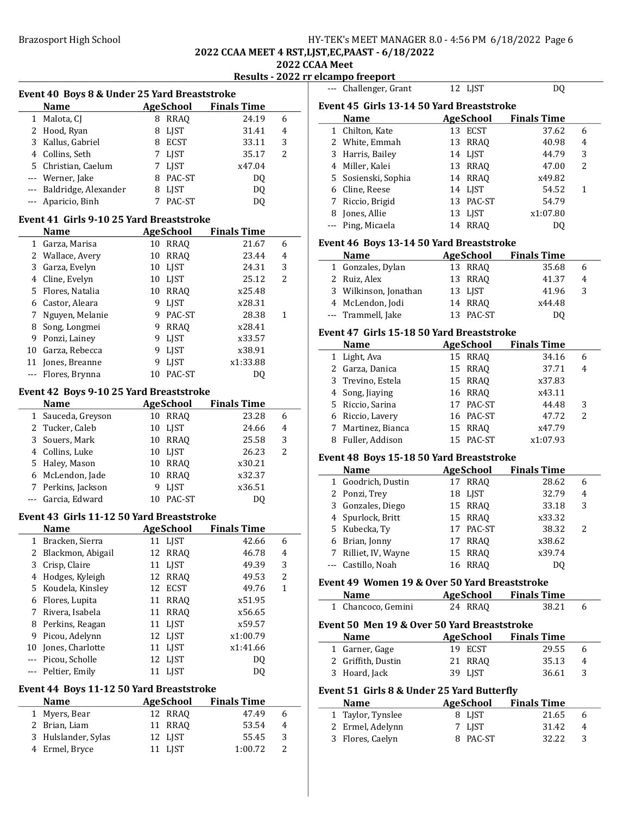### Brazosport High School **HY-TEK's MEET MANAGER 8.0 - 4:56 PM 6/18/2022** Page 6 2022 CCAA MEET 4 RST,LJST,EC,PAAST - 6/18/2022

# 2022 CCAA Meet

Results - 2022 rr elcampo freeport

|         | Event 40 Boys 8 & Under 25 Yard Breaststroke |    |                                 |                    |   |
|---------|----------------------------------------------|----|---------------------------------|--------------------|---|
|         | <b>Name</b>                                  |    | AgeSchool                       | <b>Finals Time</b> |   |
| 1       | Malota, CJ                                   |    | 8 RRAQ                          | 24.19              | 6 |
|         | 2 Hood, Ryan                                 |    | 8 LJST                          | 31.41              | 4 |
|         | 3 Kallus, Gabriel                            |    | 8 ECST                          | 33.11              | 3 |
|         | 4 Collins, Seth                              |    | 7 LJST                          | 35.17              | 2 |
|         | 5 Christian, Caelum                          |    | 7 LJST                          | x47.04             |   |
|         | --- Werner, Jake                             |    | 8 PAC-ST                        | DQ                 |   |
| $--$    | Baldridge, Alexander                         |    | 8 LJST                          | DQ                 |   |
|         | Aparicio, Binh                               | 7  | PAC-ST                          | DQ                 |   |
|         | Event 41 Girls 9-10 25 Yard Breaststroke     |    |                                 |                    |   |
|         | <b>Name</b>                                  |    | <b>AgeSchool</b>                | <b>Finals Time</b> |   |
|         | 1 Garza, Marisa                              |    | 10 RRAQ                         | 21.67              | 6 |
|         | 2 Wallace, Avery                             | 10 | <b>RRAQ</b>                     | 23.44              | 4 |
|         | 3 Garza, Evelyn                              |    | 10 LJST                         | 24.31              | 3 |
|         | 4 Cline, Evelyn                              |    | 10 LJST                         | 25.12              | 2 |
|         | 5 Flores, Natalia                            |    | 10 RRAQ                         | x25.48             |   |
|         | 6 Castor, Aleara                             |    | 9 LJST                          | x28.31             |   |
|         | 7 Nguyen, Melanie                            |    | 9 PAC-ST                        | 28.38              | 1 |
|         | 8 Song, Longmei                              |    | 9 RRAQ                          | x28.41             |   |
|         | 9 Ponzi, Lainey                              | 9  | <b>LJST</b>                     | x33.57             |   |
|         | 10 Garza, Rebecca                            | 9  | <b>LJST</b>                     | x38.91             |   |
| 11      | Jones, Breanne                               | 9  | LJST                            | x1:33.88           |   |
| $- - -$ | Flores, Brynna                               | 10 | PAC-ST                          | DQ                 |   |
|         |                                              |    |                                 |                    |   |
|         | Event 42 Boys 9-10 25 Yard Breaststroke      |    |                                 |                    |   |
|         | <b>Name</b>                                  |    | <b>AgeSchool</b>                | <b>Finals Time</b> |   |
|         | 1 Sauceda, Greyson                           |    | 10 RRAQ                         | 23.28              | 6 |
|         | 2 Tucker, Caleb                              |    | 10 LJST                         | 24.66              | 4 |
|         | 3 Souers, Mark                               |    | 10 RRAQ                         | 25.58              | 3 |
|         | 4 Collins, Luke                              |    | 10 LJST                         | 26.23              | 2 |
|         | 5 Haley, Mason                               |    | 10 RRAQ                         | x30.21             |   |
|         | 6 McLendon, Jade                             |    | 10 RRAQ                         | x32.37             |   |
| 7       | Perkins, Jackson                             | 9  | <b>LJST</b>                     | x36.51             |   |
|         | Garcia, Edward                               |    | 10 PAC-ST                       | DQ                 |   |
|         | Event 43 Girls 11-12 50 Yard Breaststroke    |    |                                 |                    |   |
|         | <b>Name</b>                                  |    | <b>AgeSchool</b>                | <b>Finals Time</b> |   |
|         | 1 Bracken, Sierra                            |    | 11 LJST                         | 42.66              | 6 |
| 2       | Blackmon, Abigail                            | 12 | RRAQ                            | 46.78              | 4 |
| 3       | Crisp, Claire                                | 11 | <b>LJST</b>                     | 49.39              | 3 |
| 4       | Hodges, Kyleigh                              | 12 | <b>RRAQ</b>                     | 49.53              | 2 |
| 5       | Koudela, Kinsley                             | 12 | <b>ECST</b>                     | 49.76              | 1 |
|         | 6 Flores, Lupita                             |    | 11 RRAQ                         | x51.95             |   |
| 7       | Rivera, Isabela                              | 11 | <b>RRAQ</b>                     | x56.65             |   |
|         | 8 Perkins, Reagan                            | 11 | LJST                            | x59.57             |   |
| 9       | Picou, Adelynn                               |    | 12 LJST                         | x1:00.79           |   |
| 10      | Jones, Charlotte                             | 11 | <b>LJST</b>                     | x1:41.66           |   |
| $- - -$ | Picou, Scholle                               | 12 | LJST                            | DQ                 |   |
| ---     | Peltier, Emily                               | 11 | <b>LJST</b>                     | DQ                 |   |
|         |                                              |    |                                 |                    |   |
|         | Event 44 Boys 11-12 50 Yard Breaststroke     |    |                                 | <b>Finals Time</b> |   |
| 1       | Name<br>Myers, Bear                          | 12 | <b>AgeSchool</b><br><b>RRAQ</b> | 47.49              | 6 |
| 2       | Brian, Liam                                  | 11 | <b>RRAQ</b>                     | 53.54              | 4 |
|         |                                              |    |                                 |                    |   |

3 Hulslander, Sylas 12 LJST 55.45 3<br>4 Ermel, Bryce 11 LJST 1:00.72 2

4 Ermel, Bryce

| $- - -$ | Challenger, Grant                             | 12 LJST           | DQ                    |   |
|---------|-----------------------------------------------|-------------------|-----------------------|---|
|         | Event 45 Girls 13-14 50 Yard Breaststroke     |                   |                       |   |
|         | <b>Name</b>                                   | <b>AgeSchool</b>  | <b>Finals Time</b>    |   |
|         | 1 Chilton, Kate                               | 13 ECST           | 37.62                 | 6 |
|         | 2 White, Emmah                                | 13 RRAQ           | 40.98                 | 4 |
|         | 3 Harris, Bailey                              | 14 LJST           | 44.79                 | 3 |
|         | 4 Miller, Kalei                               | 13 RRAQ           | 47.00                 | 2 |
|         | 5 Sosienski, Sophia                           | 14 RRAQ           | x49.82                |   |
|         | 6 Cline, Reese                                | 14 LJST           | 54.52                 | 1 |
| 7       | Riccio, Brigid                                | 13 PAC-ST         | 54.79                 |   |
|         | 8 Jones, Allie                                | 13<br>LJST        | x1:07.80              |   |
|         | --- Ping, Micaela                             | 14 RRAQ           | DQ                    |   |
|         |                                               |                   |                       |   |
|         | Event 46 Boys 13-14 50 Yard Breaststroke      |                   |                       |   |
|         | <b>Name</b>                                   | <b>AgeSchool</b>  | <b>Finals Time</b>    |   |
|         | 1 Gonzales, Dylan                             | 13 RRAQ           | 35.68                 | 6 |
|         | 2 Ruiz, Alex                                  | 13<br>RRAQ        | 41.37                 | 4 |
|         | 3 Wilkinson, Jonathan                         | 13 LJST           | 41.96                 | 3 |
|         | 4 McLendon, Jodi                              | 14 RRAQ           | x44.48                |   |
|         | --- Trammell, Jake                            | 13 PAC-ST         | DQ                    |   |
|         | Event 47 Girls 15-18 50 Yard Breaststroke     |                   |                       |   |
|         | <b>Name</b>                                   | AgeSchool         | <b>Finals Time</b>    |   |
|         | 1 Light, Ava                                  | 15 RRAQ           | 34.16                 | 6 |
|         | 2 Garza, Danica                               | 15 RRAQ           | 37.71                 | 4 |
|         | 3 Trevino, Estela                             | 15 RRAQ           | x37.83                |   |
|         | 4 Song, Jiaying                               | 16 RRAQ           | x43.11                |   |
|         | 5 Riccio, Sarina                              | 17<br>PAC-ST      | 44.48                 | 3 |
|         | 6 Riccio, Lavery                              | 16 PAC-ST         | 47.72                 | 2 |
|         | 7 Martinez, Bianca                            | 15 RRAQ           | x47.79                |   |
|         | 8 Fuller, Addison                             | 15 PAC-ST         | x1:07.93              |   |
|         |                                               |                   |                       |   |
|         | Event 48 Boys 15-18 50 Yard Breaststroke      |                   |                       |   |
|         | <b>Name</b>                                   | <b>AgeSchool</b>  | <b>Finals Time</b>    |   |
|         | 1 Goodrich, Dustin                            | 17 RRAQ           | 28.62                 | 6 |
|         | 2 Ponzi, Trey                                 | 18 LJST           | 32.79                 | 4 |
|         | 3 Gonzales, Diego                             | 15 RRAQ           | 33.18                 | 3 |
|         | 4 Spurlock, Britt                             | 15 RRAQ           | x33.32                |   |
|         | 5 Kubecka, Ty                                 |                   |                       |   |
|         |                                               | 17<br>PAC-ST      | 38.32                 | 2 |
|         | 6 Brian, Jonny                                | 17 RRAQ           | x38.62                |   |
|         | 7 Rilliet, IV, Wayne                          | 15 RRAQ           | x39.74                |   |
|         | --- Castillo, Noah                            | <b>16 RRAO</b>    | <b>DQ</b>             |   |
|         |                                               |                   |                       |   |
|         | Event 49 Women 19 & Over 50 Yard Breaststroke |                   |                       |   |
|         | <b>Name</b>                                   | <b>AgeSchool</b>  | <b>Finals Time</b>    |   |
| 1       | Chancoco, Gemini                              | 24 RRAQ           | 38.21                 | 6 |
|         | Event 50 Men 19 & Over 50 Yard Breaststroke   |                   |                       |   |
|         | <b>Name</b>                                   | AgeSchool         | <b>Finals Time</b>    |   |
| 1       | Garner, Gage                                  | 19 ECST           | 29.55                 | 6 |
|         | 2 Griffith, Dustin                            | 21<br><b>RRAQ</b> | 35.13                 | 4 |
|         | 3 Hoard, Jack                                 | 39 LJST           | 36.61                 | 3 |
|         |                                               |                   |                       |   |
|         | Event 51 Girls 8 & Under 25 Yard Butterfly    |                   |                       |   |
|         | <b>Name</b>                                   |                   | AgeSchool Finals Time |   |
|         | 1 Taylor, Tynslee                             | 8 LJST            | 21.65                 | 6 |
|         | 2 Ermel, Adelynn                              | 7<br>LJST         | 31.42                 | 4 |
|         | 3 Flores, Caelyn                              | PAC-ST<br>8       | 32.22                 | 3 |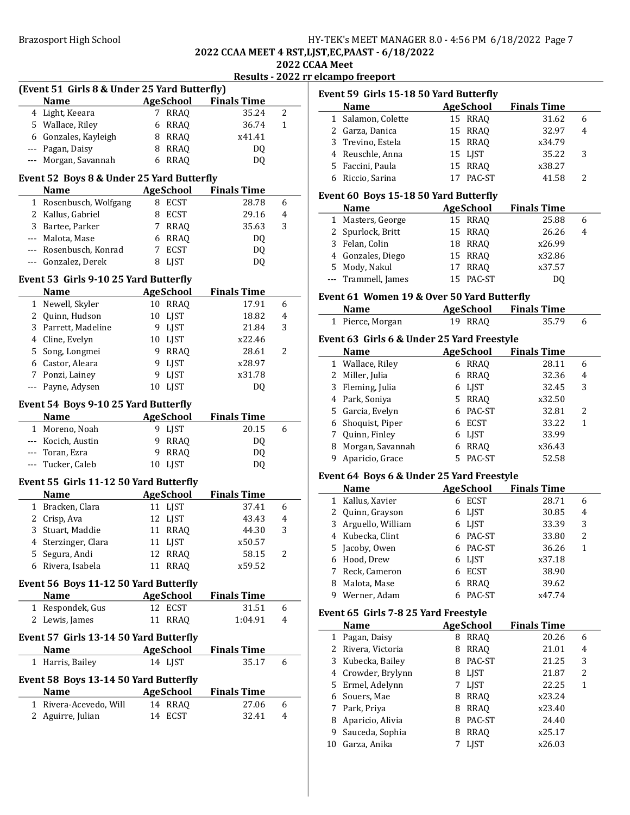# Brazosport High School **HY-TEK's MEET MANAGER 8.0 - 4:56 PM 6/18/2022** Page 7

Event 59 Girls 15-18 50 Yard Butterfly

**Name Age School** Finals Time<br>Salamon, Colette 15 RRAQ 31.62 1 31.62 6 Salamon, Colette 15 RRAQ

# 2022 CCAA MEET 4 RST,LJST,EC,PAAST - 6/18/2022

2022 CCAA Meet Results - 2022 rr elcampo freeport

|      |                                              |    |                  | Results - 2022 f   |   |
|------|----------------------------------------------|----|------------------|--------------------|---|
|      | (Event 51 Girls 8 & Under 25 Yard Butterfly) |    |                  |                    |   |
|      | <b>Name</b>                                  |    | <b>AgeSchool</b> | <b>Finals Time</b> |   |
|      | 4 Light, Keeara                              |    | 7 RRAQ           | 35.24              | 2 |
|      | 5 Wallace, Riley                             | 6  | RRAQ             | 36.74              | 1 |
|      | 6 Gonzales, Kayleigh                         | 8  | RRAQ             | x41.41             |   |
|      | --- Pagan, Daisy                             | 8  | <b>RRAQ</b>      | DQ.                |   |
|      | --- Morgan, Savannah                         | 6  | RRAQ             | DQ                 |   |
|      |                                              |    |                  |                    |   |
|      | Event 52 Boys 8 & Under 25 Yard Butterfly    |    |                  |                    |   |
|      | <b>Name</b>                                  |    | <b>AgeSchool</b> | <b>Finals Time</b> |   |
|      | 1 Rosenbusch, Wolfgang                       |    | 8 ECST           | 28.78              | 6 |
|      | 2 Kallus, Gabriel                            | 8  | <b>ECST</b>      | 29.16              | 4 |
| 3    | Bartee, Parker                               | 7  | RRAQ             | 35.63              | 3 |
|      | --- Malota, Mase                             |    | 6 RRAQ           | DQ                 |   |
|      |                                              | 7  |                  |                    |   |
|      | --- Rosenbusch, Konrad                       |    | ECST             | DQ                 |   |
|      | --- Gonzalez, Derek                          | 8  | LJST             | DQ                 |   |
|      | Event 53 Girls 9-10 25 Yard Butterfly        |    |                  |                    |   |
|      | <b>Name</b>                                  |    | <b>AgeSchool</b> | <b>Finals Time</b> |   |
| 1    | Newell, Skyler                               |    | 10 RRAQ          | 17.91              | 6 |
|      | 2 Quinn, Hudson                              | 10 | LJST             | 18.82              | 4 |
|      | 3 Parrett, Madeline                          |    | 9 LJST           | 21.84              | 3 |
|      | 4 Cline, Evelyn                              |    | 10 LJST          | x22.46             |   |
|      |                                              |    |                  |                    | 2 |
|      | 5 Song, Longmei                              | 9  | RRAQ             | 28.61              |   |
|      | 6 Castor, Aleara                             | 9  | <b>LJST</b>      | x28.97             |   |
|      | 7 Ponzi, Lainey                              | 9  | LJST             | x31.78             |   |
| $--$ | Payne, Adysen                                | 10 | <b>LJST</b>      | DQ                 |   |
|      | Event 54 Boys 9-10 25 Yard Butterfly         |    |                  |                    |   |
|      | <b>Name</b>                                  |    | <b>AgeSchool</b> | <b>Finals Time</b> |   |
| 1    | Moreno, Noah                                 |    | 9 LJST           | 20.15              | 6 |
|      | --- Kocich, Austin                           | 9  | RRAQ             | DQ                 |   |
|      | --- Toran, Ezra                              | 9  | <b>RRAQ</b>      |                    |   |
|      |                                              |    | LJST             | DQ                 |   |
|      | --- Tucker, Caleb                            | 10 |                  | DQ                 |   |
|      | Event 55 Girls 11-12 50 Yard Butterfly       |    |                  |                    |   |
|      | <b>Name</b>                                  |    | <b>AgeSchool</b> | <b>Finals Time</b> |   |
|      | 1 Bracken, Clara                             |    | 11 LJST          | 37.41              | 6 |
|      | 2 Crisp, Ava                                 | 12 | LJST             | 43.43              | 4 |
| 3    | Stuart, Maddie                               |    | 11 RRAQ          | 44.30              | 3 |
|      | 4 Sterzinger, Clara                          |    | 11 LJST          | x50.57             |   |
| 5.   | Segura, Andi                                 | 12 | <b>RRAQ</b>      | 58.15              | 2 |
| 6    | Rivera, Isabela                              | 11 | <b>RRAQ</b>      | x59.52             |   |
|      |                                              |    |                  |                    |   |
|      | Event 56 Boys 11-12 50 Yard Butterfly        |    |                  |                    |   |
|      | <b>Name</b>                                  |    | <b>AgeSchool</b> | <b>Finals Time</b> |   |
| 1    | Respondek, Gus                               |    | 12 ECST          | 31.51              | 6 |
| 2    | Lewis, James                                 | 11 | <b>RRAQ</b>      | 1:04.91            | 4 |
|      |                                              |    |                  |                    |   |
|      |                                              |    |                  |                    |   |
|      | Event 57 Girls 13-14 50 Yard Butterfly       |    |                  |                    |   |
|      | <b>Name</b>                                  |    | <b>AgeSchool</b> | <b>Finals Time</b> |   |
| 1    | Harris, Bailey                               |    | 14 LJST          | 35.17              | 6 |
|      |                                              |    |                  |                    |   |
|      | Event 58 Boys 13-14 50 Yard Butterfly        |    |                  |                    |   |
|      | <b>Name</b>                                  |    | <b>AgeSchool</b> | <b>Finals Time</b> |   |
|      | 1 Rivera-Acevedo, Will                       |    | 14 RRAQ          | 27.06              | 6 |
|      | 2 Aguirre, Julian                            | 14 | <b>ECST</b>      | 32.41              | 4 |

|    | 4 Reuschle, Anna                           | 15 LJST                    | 35.22                       | 3              |
|----|--------------------------------------------|----------------------------|-----------------------------|----------------|
|    | 5 Faccini, Paula                           | 15 RRAQ                    | x38.27                      |                |
|    | 6 Riccio, Sarina                           | 17<br>PAC-ST               | 41.58                       | 2              |
|    |                                            |                            |                             |                |
|    | Event 60 Boys 15-18 50 Yard Butterfly      |                            |                             |                |
|    | Name                                       | <b>AgeSchool</b>           | <b>Finals Time</b>          |                |
|    | 1 Masters, George                          | 15 RRAQ                    | 25.88                       | 6              |
|    | 2 Spurlock, Britt                          | 15<br><b>RRAQ</b>          | 26.26                       | 4              |
|    | 3 Felan, Colin                             | 18 RRAQ                    | x26.99                      |                |
|    | 4 Gonzales, Diego                          | 15 RRAQ                    | x32.86                      |                |
|    | 5 Mody, Nakul                              | 17<br><b>RRAQ</b>          | x37.57                      |                |
|    | --- Trammell, James                        | 15 PAC-ST                  | DQ                          |                |
|    |                                            |                            |                             |                |
|    | Event 61 Women 19 & Over 50 Yard Butterfly |                            |                             |                |
|    | <b>Name</b>                                | <b>AgeSchool</b>           | <b>Finals Time</b>          |                |
|    | 1 Pierce, Morgan                           | 19 RRAQ                    | 35.79                       | 6              |
|    | Event 63 Girls 6 & Under 25 Yard Freestyle |                            |                             |                |
|    | <b>Name</b>                                | AgeSchool                  | <b>Finals Time</b>          |                |
|    | 1 Wallace, Riley                           | 6 RRAQ                     | 28.11                       | 6              |
|    | 2 Miller, Julia                            | 6 RRAQ                     | 32.36                       | 4              |
|    | 3 Fleming, Julia                           | 6 LJST                     | 32.45                       | 3              |
|    | 4 Park, Soniya                             | 5 RRAQ                     | x32.50                      |                |
|    | 5 Garcia, Evelyn                           | 6 PAC-ST                   | 32.81                       | 2              |
|    | 6 Shoquist, Piper                          | 6 ECST                     | 33.22                       | 1              |
|    | 7 Quinn, Finley                            | 6 LJST                     | 33.99                       |                |
|    | 8 Morgan, Savannah                         | 6 RRAQ                     | x36.43                      |                |
|    |                                            |                            |                             |                |
| 9  |                                            |                            | 52.58                       |                |
|    | Aparicio, Grace                            | 5 PAC-ST                   |                             |                |
|    | Event 64 Boys 6 & Under 25 Yard Freestyle  |                            |                             |                |
|    | <b>Name</b>                                | AgeSchool                  | <b>Finals Time</b>          |                |
|    | 1 Kallus, Xavier                           | 6 ECST                     | 28.71                       | 6              |
|    | 2 Quinn, Grayson                           | 6 LJST                     | 30.85                       | 4              |
|    | 3 Arguello, William                        | 6 LJST                     | 33.39                       | 3              |
|    | 4 Kubecka, Clint                           | 6 PAC-ST                   | 33.80                       | 2              |
|    | 5 Jacoby, Owen                             | 6 PAC-ST                   | 36.26                       | $\mathbf{1}$   |
|    | 6 Hood, Drew                               | 6 LJST                     | x37.18                      |                |
|    | 7 Reck, Cameron                            | 6 ECST                     | 38.90                       |                |
| 8  | Malota, Mase                               | 6 RRAQ                     | 39.62                       |                |
|    | 9 Werner, Adam                             | 6 PAC-ST                   | x47.74                      |                |
|    | Event 65 Girls 7-8 25 Yard Freestyle       |                            |                             |                |
|    | <b>Name</b>                                |                            |                             |                |
|    | 1 Pagan, Daisy                             | <b>AgeSchool</b><br>8 RRAQ | <b>Finals Time</b><br>20.26 | 6              |
|    |                                            | <b>RRAQ</b><br>8           |                             | $\overline{4}$ |
|    | 2 Rivera, Victoria                         | 8 PAC-ST                   | 21.01                       | 3              |
|    | 3 Kubecka, Bailey                          |                            | 21.25<br>21.87              | 2              |
|    | 4 Crowder, Brylynn                         | 8 LJST                     | 22.25                       | 1              |
|    | 5 Ermel, Adelynn                           | 7 LJST                     |                             |                |
|    | 6 Souers, Mae                              | 8 RRAQ                     | x23.24<br>x23.40            |                |
|    | 7 Park, Priya                              | 8 RRAQ                     | 24.40                       |                |
| 9  | 8 Aparicio, Alivia                         | 8 PAC-ST                   |                             |                |
| 10 | Sauceda, Sophia<br>Garza, Anika            | 8 RRAQ<br><b>LJST</b><br>7 | x25.17<br>x26.03            |                |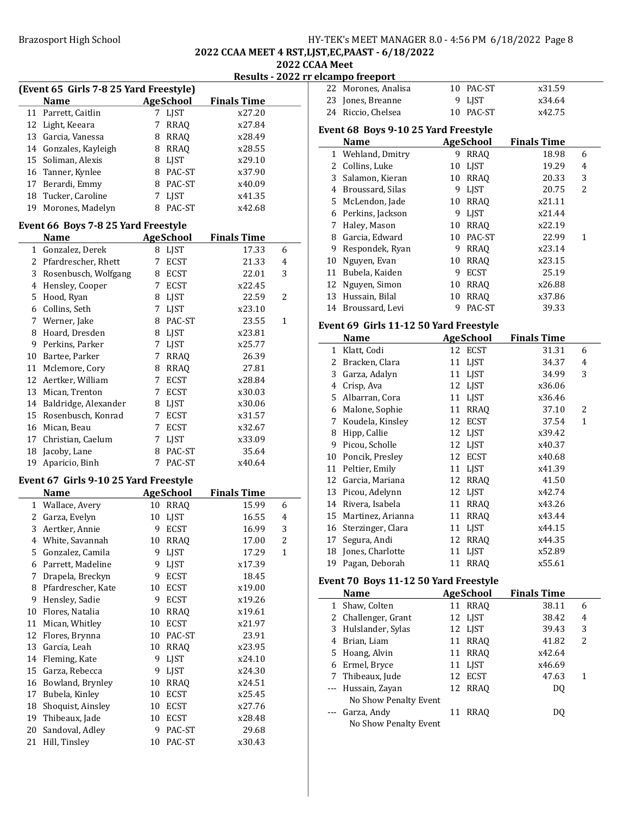# Brazosport High School **HY-TEK's MEET MANAGER 8.0 - 4:56 PM 6/18/2022** Page 8

### 2022 CCAA MEET 4 RST,LJST,EC,PAAST - 6/18/2022 2022 CCAA Meet

### Results - 2022 rr elcampo freeport

| <b>AgeSchool</b><br><b>Finals Time</b><br><b>Name</b><br>Parrett, Caitlin<br>7 LJST<br>x27.20<br>11<br>12 Light, Keeara<br>7<br><b>RRAQ</b><br>x27.84<br>13 Garcia, Vanessa<br>8 RRAQ<br>x28.49<br>14 Gonzales, Kayleigh<br>8 RRAQ<br>x28.55<br>Soliman, Alexis<br>15<br>8 LJST<br>x29.10<br>16 Tanner, Kynlee<br>8 PAC-ST<br>x37.90<br>17 Berardi, Emmy<br>8 PAC-ST<br>x40.09<br>18 Tucker, Caroline<br>7 LJST<br>x41.35<br>8 PAC-ST<br>19<br>Morones, Madelyn<br>x42.68<br>Event 66 Boys 7-8 25 Yard Freestyle<br><b>Name</b><br><b>AgeSchool</b><br><b>Finals Time</b><br>Gonzalez, Derek<br>$\mathbf{1}$<br>8 LJST<br>17.33<br>6<br>2 Pfardrescher, Rhett<br>7<br><b>ECST</b><br>21.33<br>4<br>3 Rosenbusch, Wolfgang<br>8 ECST<br>22.01<br>3<br>4 Hensley, Cooper<br>x22.45<br>7 ECST<br>Hood, Ryan<br>5<br>8 LJST<br>22.59<br>2<br>6 Collins, Seth<br>7 LJST<br>x23.10<br>7 Werner, Jake<br>8 PAC-ST<br>23.55<br>$\mathbf{1}$<br>8<br>Hoard, Dresden<br>x23.81<br>8 LJST<br>9<br>Perkins, Parker<br>LJST<br>x25.77<br>7<br>10<br>Bartee, Parker<br>7 RRAQ<br>26.39<br>Mclemore, Cory<br>11<br>8 RRAQ<br>27.81<br>12<br>Aertker, William<br>7<br><b>ECST</b><br>x28.84<br>13<br>Mican, Trenton<br>7 ECST<br>x30.03<br>14<br>Baldridge, Alexander<br>8 LJST<br>x30.06<br>15<br>Rosenbusch, Konrad<br>7 ECST<br>x31.57<br>16<br>Mican, Beau<br>7 ECST<br>x32.67<br>17<br>Christian, Caelum<br>7 LJST<br>x33.09<br>18<br>Jacoby, Lane<br>8<br>PAC-ST<br>35.64<br>19<br>Aparicio, Binh<br>7<br>PAC-ST<br>x40.64<br>Event 67 Girls 9-10 25 Yard Freestyle<br><b>AgeSchool</b><br><b>Finals Time</b><br><b>Name</b><br>1 Wallace, Avery<br><b>RRAQ</b><br>15.99<br>10<br>6<br>$\mathbf{2}$<br>Garza, Evelyn<br><b>LJST</b><br>16.55<br>10<br>4<br>3<br>Aertker, Annie<br>3<br>9<br><b>ECST</b><br>16.99<br>$\overline{c}$<br>4<br>White, Savannah<br>10<br><b>RRAQ</b><br>17.00<br>Gonzalez, Camila<br>LJST<br>17.29<br>5<br>9<br>1<br>LJST<br>6<br>Parrett, Madeline<br>9<br>x17.39<br>7<br>Drapela, Breckyn<br>9<br><b>ECST</b><br>18.45<br>Pfardrescher, Kate<br>8<br>10<br><b>ECST</b><br>x19.00 |  |  |  |  |  |  |  |  |  |
|-----------------------------------------------------------------------------------------------------------------------------------------------------------------------------------------------------------------------------------------------------------------------------------------------------------------------------------------------------------------------------------------------------------------------------------------------------------------------------------------------------------------------------------------------------------------------------------------------------------------------------------------------------------------------------------------------------------------------------------------------------------------------------------------------------------------------------------------------------------------------------------------------------------------------------------------------------------------------------------------------------------------------------------------------------------------------------------------------------------------------------------------------------------------------------------------------------------------------------------------------------------------------------------------------------------------------------------------------------------------------------------------------------------------------------------------------------------------------------------------------------------------------------------------------------------------------------------------------------------------------------------------------------------------------------------------------------------------------------------------------------------------------------------------------------------------------------------------------------------------------------------------------------------------------------------------------------------------------------------------------------------------------------------------------------------------------------------------------------|--|--|--|--|--|--|--|--|--|
|                                                                                                                                                                                                                                                                                                                                                                                                                                                                                                                                                                                                                                                                                                                                                                                                                                                                                                                                                                                                                                                                                                                                                                                                                                                                                                                                                                                                                                                                                                                                                                                                                                                                                                                                                                                                                                                                                                                                                                                                                                                                                                     |  |  |  |  |  |  |  |  |  |
|                                                                                                                                                                                                                                                                                                                                                                                                                                                                                                                                                                                                                                                                                                                                                                                                                                                                                                                                                                                                                                                                                                                                                                                                                                                                                                                                                                                                                                                                                                                                                                                                                                                                                                                                                                                                                                                                                                                                                                                                                                                                                                     |  |  |  |  |  |  |  |  |  |
|                                                                                                                                                                                                                                                                                                                                                                                                                                                                                                                                                                                                                                                                                                                                                                                                                                                                                                                                                                                                                                                                                                                                                                                                                                                                                                                                                                                                                                                                                                                                                                                                                                                                                                                                                                                                                                                                                                                                                                                                                                                                                                     |  |  |  |  |  |  |  |  |  |
|                                                                                                                                                                                                                                                                                                                                                                                                                                                                                                                                                                                                                                                                                                                                                                                                                                                                                                                                                                                                                                                                                                                                                                                                                                                                                                                                                                                                                                                                                                                                                                                                                                                                                                                                                                                                                                                                                                                                                                                                                                                                                                     |  |  |  |  |  |  |  |  |  |
|                                                                                                                                                                                                                                                                                                                                                                                                                                                                                                                                                                                                                                                                                                                                                                                                                                                                                                                                                                                                                                                                                                                                                                                                                                                                                                                                                                                                                                                                                                                                                                                                                                                                                                                                                                                                                                                                                                                                                                                                                                                                                                     |  |  |  |  |  |  |  |  |  |
|                                                                                                                                                                                                                                                                                                                                                                                                                                                                                                                                                                                                                                                                                                                                                                                                                                                                                                                                                                                                                                                                                                                                                                                                                                                                                                                                                                                                                                                                                                                                                                                                                                                                                                                                                                                                                                                                                                                                                                                                                                                                                                     |  |  |  |  |  |  |  |  |  |
|                                                                                                                                                                                                                                                                                                                                                                                                                                                                                                                                                                                                                                                                                                                                                                                                                                                                                                                                                                                                                                                                                                                                                                                                                                                                                                                                                                                                                                                                                                                                                                                                                                                                                                                                                                                                                                                                                                                                                                                                                                                                                                     |  |  |  |  |  |  |  |  |  |
|                                                                                                                                                                                                                                                                                                                                                                                                                                                                                                                                                                                                                                                                                                                                                                                                                                                                                                                                                                                                                                                                                                                                                                                                                                                                                                                                                                                                                                                                                                                                                                                                                                                                                                                                                                                                                                                                                                                                                                                                                                                                                                     |  |  |  |  |  |  |  |  |  |
|                                                                                                                                                                                                                                                                                                                                                                                                                                                                                                                                                                                                                                                                                                                                                                                                                                                                                                                                                                                                                                                                                                                                                                                                                                                                                                                                                                                                                                                                                                                                                                                                                                                                                                                                                                                                                                                                                                                                                                                                                                                                                                     |  |  |  |  |  |  |  |  |  |
|                                                                                                                                                                                                                                                                                                                                                                                                                                                                                                                                                                                                                                                                                                                                                                                                                                                                                                                                                                                                                                                                                                                                                                                                                                                                                                                                                                                                                                                                                                                                                                                                                                                                                                                                                                                                                                                                                                                                                                                                                                                                                                     |  |  |  |  |  |  |  |  |  |
|                                                                                                                                                                                                                                                                                                                                                                                                                                                                                                                                                                                                                                                                                                                                                                                                                                                                                                                                                                                                                                                                                                                                                                                                                                                                                                                                                                                                                                                                                                                                                                                                                                                                                                                                                                                                                                                                                                                                                                                                                                                                                                     |  |  |  |  |  |  |  |  |  |
|                                                                                                                                                                                                                                                                                                                                                                                                                                                                                                                                                                                                                                                                                                                                                                                                                                                                                                                                                                                                                                                                                                                                                                                                                                                                                                                                                                                                                                                                                                                                                                                                                                                                                                                                                                                                                                                                                                                                                                                                                                                                                                     |  |  |  |  |  |  |  |  |  |
|                                                                                                                                                                                                                                                                                                                                                                                                                                                                                                                                                                                                                                                                                                                                                                                                                                                                                                                                                                                                                                                                                                                                                                                                                                                                                                                                                                                                                                                                                                                                                                                                                                                                                                                                                                                                                                                                                                                                                                                                                                                                                                     |  |  |  |  |  |  |  |  |  |
|                                                                                                                                                                                                                                                                                                                                                                                                                                                                                                                                                                                                                                                                                                                                                                                                                                                                                                                                                                                                                                                                                                                                                                                                                                                                                                                                                                                                                                                                                                                                                                                                                                                                                                                                                                                                                                                                                                                                                                                                                                                                                                     |  |  |  |  |  |  |  |  |  |
|                                                                                                                                                                                                                                                                                                                                                                                                                                                                                                                                                                                                                                                                                                                                                                                                                                                                                                                                                                                                                                                                                                                                                                                                                                                                                                                                                                                                                                                                                                                                                                                                                                                                                                                                                                                                                                                                                                                                                                                                                                                                                                     |  |  |  |  |  |  |  |  |  |
|                                                                                                                                                                                                                                                                                                                                                                                                                                                                                                                                                                                                                                                                                                                                                                                                                                                                                                                                                                                                                                                                                                                                                                                                                                                                                                                                                                                                                                                                                                                                                                                                                                                                                                                                                                                                                                                                                                                                                                                                                                                                                                     |  |  |  |  |  |  |  |  |  |
|                                                                                                                                                                                                                                                                                                                                                                                                                                                                                                                                                                                                                                                                                                                                                                                                                                                                                                                                                                                                                                                                                                                                                                                                                                                                                                                                                                                                                                                                                                                                                                                                                                                                                                                                                                                                                                                                                                                                                                                                                                                                                                     |  |  |  |  |  |  |  |  |  |
|                                                                                                                                                                                                                                                                                                                                                                                                                                                                                                                                                                                                                                                                                                                                                                                                                                                                                                                                                                                                                                                                                                                                                                                                                                                                                                                                                                                                                                                                                                                                                                                                                                                                                                                                                                                                                                                                                                                                                                                                                                                                                                     |  |  |  |  |  |  |  |  |  |
|                                                                                                                                                                                                                                                                                                                                                                                                                                                                                                                                                                                                                                                                                                                                                                                                                                                                                                                                                                                                                                                                                                                                                                                                                                                                                                                                                                                                                                                                                                                                                                                                                                                                                                                                                                                                                                                                                                                                                                                                                                                                                                     |  |  |  |  |  |  |  |  |  |
|                                                                                                                                                                                                                                                                                                                                                                                                                                                                                                                                                                                                                                                                                                                                                                                                                                                                                                                                                                                                                                                                                                                                                                                                                                                                                                                                                                                                                                                                                                                                                                                                                                                                                                                                                                                                                                                                                                                                                                                                                                                                                                     |  |  |  |  |  |  |  |  |  |
|                                                                                                                                                                                                                                                                                                                                                                                                                                                                                                                                                                                                                                                                                                                                                                                                                                                                                                                                                                                                                                                                                                                                                                                                                                                                                                                                                                                                                                                                                                                                                                                                                                                                                                                                                                                                                                                                                                                                                                                                                                                                                                     |  |  |  |  |  |  |  |  |  |
|                                                                                                                                                                                                                                                                                                                                                                                                                                                                                                                                                                                                                                                                                                                                                                                                                                                                                                                                                                                                                                                                                                                                                                                                                                                                                                                                                                                                                                                                                                                                                                                                                                                                                                                                                                                                                                                                                                                                                                                                                                                                                                     |  |  |  |  |  |  |  |  |  |
|                                                                                                                                                                                                                                                                                                                                                                                                                                                                                                                                                                                                                                                                                                                                                                                                                                                                                                                                                                                                                                                                                                                                                                                                                                                                                                                                                                                                                                                                                                                                                                                                                                                                                                                                                                                                                                                                                                                                                                                                                                                                                                     |  |  |  |  |  |  |  |  |  |
|                                                                                                                                                                                                                                                                                                                                                                                                                                                                                                                                                                                                                                                                                                                                                                                                                                                                                                                                                                                                                                                                                                                                                                                                                                                                                                                                                                                                                                                                                                                                                                                                                                                                                                                                                                                                                                                                                                                                                                                                                                                                                                     |  |  |  |  |  |  |  |  |  |
|                                                                                                                                                                                                                                                                                                                                                                                                                                                                                                                                                                                                                                                                                                                                                                                                                                                                                                                                                                                                                                                                                                                                                                                                                                                                                                                                                                                                                                                                                                                                                                                                                                                                                                                                                                                                                                                                                                                                                                                                                                                                                                     |  |  |  |  |  |  |  |  |  |
|                                                                                                                                                                                                                                                                                                                                                                                                                                                                                                                                                                                                                                                                                                                                                                                                                                                                                                                                                                                                                                                                                                                                                                                                                                                                                                                                                                                                                                                                                                                                                                                                                                                                                                                                                                                                                                                                                                                                                                                                                                                                                                     |  |  |  |  |  |  |  |  |  |
|                                                                                                                                                                                                                                                                                                                                                                                                                                                                                                                                                                                                                                                                                                                                                                                                                                                                                                                                                                                                                                                                                                                                                                                                                                                                                                                                                                                                                                                                                                                                                                                                                                                                                                                                                                                                                                                                                                                                                                                                                                                                                                     |  |  |  |  |  |  |  |  |  |
|                                                                                                                                                                                                                                                                                                                                                                                                                                                                                                                                                                                                                                                                                                                                                                                                                                                                                                                                                                                                                                                                                                                                                                                                                                                                                                                                                                                                                                                                                                                                                                                                                                                                                                                                                                                                                                                                                                                                                                                                                                                                                                     |  |  |  |  |  |  |  |  |  |
|                                                                                                                                                                                                                                                                                                                                                                                                                                                                                                                                                                                                                                                                                                                                                                                                                                                                                                                                                                                                                                                                                                                                                                                                                                                                                                                                                                                                                                                                                                                                                                                                                                                                                                                                                                                                                                                                                                                                                                                                                                                                                                     |  |  |  |  |  |  |  |  |  |
|                                                                                                                                                                                                                                                                                                                                                                                                                                                                                                                                                                                                                                                                                                                                                                                                                                                                                                                                                                                                                                                                                                                                                                                                                                                                                                                                                                                                                                                                                                                                                                                                                                                                                                                                                                                                                                                                                                                                                                                                                                                                                                     |  |  |  |  |  |  |  |  |  |
|                                                                                                                                                                                                                                                                                                                                                                                                                                                                                                                                                                                                                                                                                                                                                                                                                                                                                                                                                                                                                                                                                                                                                                                                                                                                                                                                                                                                                                                                                                                                                                                                                                                                                                                                                                                                                                                                                                                                                                                                                                                                                                     |  |  |  |  |  |  |  |  |  |
|                                                                                                                                                                                                                                                                                                                                                                                                                                                                                                                                                                                                                                                                                                                                                                                                                                                                                                                                                                                                                                                                                                                                                                                                                                                                                                                                                                                                                                                                                                                                                                                                                                                                                                                                                                                                                                                                                                                                                                                                                                                                                                     |  |  |  |  |  |  |  |  |  |
|                                                                                                                                                                                                                                                                                                                                                                                                                                                                                                                                                                                                                                                                                                                                                                                                                                                                                                                                                                                                                                                                                                                                                                                                                                                                                                                                                                                                                                                                                                                                                                                                                                                                                                                                                                                                                                                                                                                                                                                                                                                                                                     |  |  |  |  |  |  |  |  |  |
|                                                                                                                                                                                                                                                                                                                                                                                                                                                                                                                                                                                                                                                                                                                                                                                                                                                                                                                                                                                                                                                                                                                                                                                                                                                                                                                                                                                                                                                                                                                                                                                                                                                                                                                                                                                                                                                                                                                                                                                                                                                                                                     |  |  |  |  |  |  |  |  |  |
|                                                                                                                                                                                                                                                                                                                                                                                                                                                                                                                                                                                                                                                                                                                                                                                                                                                                                                                                                                                                                                                                                                                                                                                                                                                                                                                                                                                                                                                                                                                                                                                                                                                                                                                                                                                                                                                                                                                                                                                                                                                                                                     |  |  |  |  |  |  |  |  |  |
|                                                                                                                                                                                                                                                                                                                                                                                                                                                                                                                                                                                                                                                                                                                                                                                                                                                                                                                                                                                                                                                                                                                                                                                                                                                                                                                                                                                                                                                                                                                                                                                                                                                                                                                                                                                                                                                                                                                                                                                                                                                                                                     |  |  |  |  |  |  |  |  |  |
|                                                                                                                                                                                                                                                                                                                                                                                                                                                                                                                                                                                                                                                                                                                                                                                                                                                                                                                                                                                                                                                                                                                                                                                                                                                                                                                                                                                                                                                                                                                                                                                                                                                                                                                                                                                                                                                                                                                                                                                                                                                                                                     |  |  |  |  |  |  |  |  |  |
|                                                                                                                                                                                                                                                                                                                                                                                                                                                                                                                                                                                                                                                                                                                                                                                                                                                                                                                                                                                                                                                                                                                                                                                                                                                                                                                                                                                                                                                                                                                                                                                                                                                                                                                                                                                                                                                                                                                                                                                                                                                                                                     |  |  |  |  |  |  |  |  |  |
|                                                                                                                                                                                                                                                                                                                                                                                                                                                                                                                                                                                                                                                                                                                                                                                                                                                                                                                                                                                                                                                                                                                                                                                                                                                                                                                                                                                                                                                                                                                                                                                                                                                                                                                                                                                                                                                                                                                                                                                                                                                                                                     |  |  |  |  |  |  |  |  |  |
|                                                                                                                                                                                                                                                                                                                                                                                                                                                                                                                                                                                                                                                                                                                                                                                                                                                                                                                                                                                                                                                                                                                                                                                                                                                                                                                                                                                                                                                                                                                                                                                                                                                                                                                                                                                                                                                                                                                                                                                                                                                                                                     |  |  |  |  |  |  |  |  |  |
|                                                                                                                                                                                                                                                                                                                                                                                                                                                                                                                                                                                                                                                                                                                                                                                                                                                                                                                                                                                                                                                                                                                                                                                                                                                                                                                                                                                                                                                                                                                                                                                                                                                                                                                                                                                                                                                                                                                                                                                                                                                                                                     |  |  |  |  |  |  |  |  |  |
| Hensley, Sadie<br>x19.26<br>9<br>9<br><b>ECST</b>                                                                                                                                                                                                                                                                                                                                                                                                                                                                                                                                                                                                                                                                                                                                                                                                                                                                                                                                                                                                                                                                                                                                                                                                                                                                                                                                                                                                                                                                                                                                                                                                                                                                                                                                                                                                                                                                                                                                                                                                                                                   |  |  |  |  |  |  |  |  |  |
| 10<br>Flores, Natalia<br>10<br><b>RRAQ</b><br>x19.61                                                                                                                                                                                                                                                                                                                                                                                                                                                                                                                                                                                                                                                                                                                                                                                                                                                                                                                                                                                                                                                                                                                                                                                                                                                                                                                                                                                                                                                                                                                                                                                                                                                                                                                                                                                                                                                                                                                                                                                                                                                |  |  |  |  |  |  |  |  |  |
| <b>ECST</b><br>11<br>Mican, Whitley<br>10<br>x21.97                                                                                                                                                                                                                                                                                                                                                                                                                                                                                                                                                                                                                                                                                                                                                                                                                                                                                                                                                                                                                                                                                                                                                                                                                                                                                                                                                                                                                                                                                                                                                                                                                                                                                                                                                                                                                                                                                                                                                                                                                                                 |  |  |  |  |  |  |  |  |  |
| 12<br>Flores, Brynna<br>PAC-ST<br>23.91<br>10                                                                                                                                                                                                                                                                                                                                                                                                                                                                                                                                                                                                                                                                                                                                                                                                                                                                                                                                                                                                                                                                                                                                                                                                                                                                                                                                                                                                                                                                                                                                                                                                                                                                                                                                                                                                                                                                                                                                                                                                                                                       |  |  |  |  |  |  |  |  |  |
| 13<br>Garcia, Leah<br>10<br><b>RRAQ</b><br>x23.95                                                                                                                                                                                                                                                                                                                                                                                                                                                                                                                                                                                                                                                                                                                                                                                                                                                                                                                                                                                                                                                                                                                                                                                                                                                                                                                                                                                                                                                                                                                                                                                                                                                                                                                                                                                                                                                                                                                                                                                                                                                   |  |  |  |  |  |  |  |  |  |
| Fleming, Kate<br>14<br>9<br><b>LJST</b><br>x24.10                                                                                                                                                                                                                                                                                                                                                                                                                                                                                                                                                                                                                                                                                                                                                                                                                                                                                                                                                                                                                                                                                                                                                                                                                                                                                                                                                                                                                                                                                                                                                                                                                                                                                                                                                                                                                                                                                                                                                                                                                                                   |  |  |  |  |  |  |  |  |  |
| Garza, Rebecca<br><b>LJST</b><br>15<br>9<br>x24.30                                                                                                                                                                                                                                                                                                                                                                                                                                                                                                                                                                                                                                                                                                                                                                                                                                                                                                                                                                                                                                                                                                                                                                                                                                                                                                                                                                                                                                                                                                                                                                                                                                                                                                                                                                                                                                                                                                                                                                                                                                                  |  |  |  |  |  |  |  |  |  |
| 16<br>Bowland, Brynley<br><b>RRAQ</b><br>x24.51<br>10                                                                                                                                                                                                                                                                                                                                                                                                                                                                                                                                                                                                                                                                                                                                                                                                                                                                                                                                                                                                                                                                                                                                                                                                                                                                                                                                                                                                                                                                                                                                                                                                                                                                                                                                                                                                                                                                                                                                                                                                                                               |  |  |  |  |  |  |  |  |  |
| Bubela, Kinley<br>17<br>10<br><b>ECST</b><br>x25.45                                                                                                                                                                                                                                                                                                                                                                                                                                                                                                                                                                                                                                                                                                                                                                                                                                                                                                                                                                                                                                                                                                                                                                                                                                                                                                                                                                                                                                                                                                                                                                                                                                                                                                                                                                                                                                                                                                                                                                                                                                                 |  |  |  |  |  |  |  |  |  |
| 18<br>Shoquist, Ainsley<br>10<br><b>ECST</b><br>x27.76                                                                                                                                                                                                                                                                                                                                                                                                                                                                                                                                                                                                                                                                                                                                                                                                                                                                                                                                                                                                                                                                                                                                                                                                                                                                                                                                                                                                                                                                                                                                                                                                                                                                                                                                                                                                                                                                                                                                                                                                                                              |  |  |  |  |  |  |  |  |  |
| 19<br>Thibeaux, Jade<br>10<br><b>ECST</b><br>x28.48                                                                                                                                                                                                                                                                                                                                                                                                                                                                                                                                                                                                                                                                                                                                                                                                                                                                                                                                                                                                                                                                                                                                                                                                                                                                                                                                                                                                                                                                                                                                                                                                                                                                                                                                                                                                                                                                                                                                                                                                                                                 |  |  |  |  |  |  |  |  |  |
| Sandoval, Adley<br>20<br>9<br>PAC-ST<br>29.68                                                                                                                                                                                                                                                                                                                                                                                                                                                                                                                                                                                                                                                                                                                                                                                                                                                                                                                                                                                                                                                                                                                                                                                                                                                                                                                                                                                                                                                                                                                                                                                                                                                                                                                                                                                                                                                                                                                                                                                                                                                       |  |  |  |  |  |  |  |  |  |
| 21<br>Hill, Tinsley<br>10<br>PAC-ST<br>x30.43                                                                                                                                                                                                                                                                                                                                                                                                                                                                                                                                                                                                                                                                                                                                                                                                                                                                                                                                                                                                                                                                                                                                                                                                                                                                                                                                                                                                                                                                                                                                                                                                                                                                                                                                                                                                                                                                                                                                                                                                                                                       |  |  |  |  |  |  |  |  |  |

| 22                                    | Morones, Analisa                                                                         |    | 10 PAC-ST        | x31.59             |                |  |  |  |
|---------------------------------------|------------------------------------------------------------------------------------------|----|------------------|--------------------|----------------|--|--|--|
| 23                                    | Jones, Breanne                                                                           |    | 9 LJST           | x34.64             |                |  |  |  |
| 24                                    | Riccio, Chelsea                                                                          | 10 | PAC-ST           | x42.75             |                |  |  |  |
|                                       |                                                                                          |    |                  |                    |                |  |  |  |
|                                       | Event 68 Boys 9-10 25 Yard Freestyle                                                     |    |                  |                    |                |  |  |  |
|                                       | Name                                                                                     |    | <b>AgeSchool</b> | <b>Finals Time</b> |                |  |  |  |
|                                       | 1 Wehland, Dmitry                                                                        |    | 9 RRAQ           | 18.98              | 6              |  |  |  |
|                                       | 2 Collins, Luke                                                                          | 10 | <b>LJST</b>      | 19.29              | $\overline{4}$ |  |  |  |
|                                       | 3 Salamon, Kieran                                                                        | 10 | RRAQ             | 20.33              | 3              |  |  |  |
|                                       | 4 Broussard, Silas                                                                       | 9  | <b>LJST</b>      | 20.75              | 2              |  |  |  |
|                                       | 5 McLendon, Jade                                                                         | 10 | <b>RRAQ</b>      | x21.11             |                |  |  |  |
|                                       | 6 Perkins, Jackson                                                                       | 9  | LJST             | x21.44             |                |  |  |  |
| 7                                     | Haley, Mason                                                                             | 10 | <b>RRAQ</b>      | x22.19             |                |  |  |  |
|                                       | 8 Garcia, Edward                                                                         |    | 10 PAC-ST        | 22.99              | 1              |  |  |  |
|                                       | 9 Respondek, Ryan                                                                        |    | 9 RRAQ           | x23.14             |                |  |  |  |
|                                       | 10 Nguyen, Evan                                                                          |    | 10 RRAQ          | x23.15             |                |  |  |  |
|                                       | 11 Bubela, Kaiden                                                                        |    | 9 ECST           | 25.19              |                |  |  |  |
|                                       | 12 Nguyen, Simon                                                                         |    | 10 RRAQ          | x26.88             |                |  |  |  |
| 13                                    | Hussain, Bilal                                                                           | 10 | RRAQ             | x37.86             |                |  |  |  |
| 14                                    | Broussard, Levi                                                                          | 9  | PAC-ST           | 39.33              |                |  |  |  |
|                                       |                                                                                          |    |                  |                    |                |  |  |  |
|                                       | Event 69 Girls 11-12 50 Yard Freestyle<br><b>AgeSchool</b><br><b>Finals Time</b><br>Name |    |                  |                    |                |  |  |  |
| $\mathbf{1}$                          | Klatt, Codi                                                                              |    | 12 ECST          | 31.31              | 6              |  |  |  |
|                                       | 2 Bracken, Clara                                                                         | 11 | LJST             | 34.37              | 4              |  |  |  |
|                                       | 3 Garza, Adalyn                                                                          | 11 | LJST             | 34.99              | 3              |  |  |  |
|                                       | 4 Crisp, Ava                                                                             |    | 12 LJST          | x36.06             |                |  |  |  |
|                                       | 5 Albarran, Cora                                                                         | 11 |                  | x36.46             |                |  |  |  |
|                                       |                                                                                          |    | LJST             |                    |                |  |  |  |
|                                       | 6 Malone, Sophie                                                                         |    | 11 RRAQ          | 37.10              | 2              |  |  |  |
|                                       | 7 Koudela, Kinsley                                                                       |    | 12 ECST          | 37.54              | $\mathbf{1}$   |  |  |  |
|                                       | 8 Hipp, Callie                                                                           |    | 12 LJST          | x39.42             |                |  |  |  |
|                                       | 9 Picou, Scholle                                                                         |    | 12 LJST          | x40.37             |                |  |  |  |
|                                       | 10 Poncik, Presley                                                                       |    | 12 ECST          | x40.68             |                |  |  |  |
|                                       | 11 Peltier, Emily                                                                        | 11 | LJST             | x41.39             |                |  |  |  |
|                                       | 12 Garcia, Mariana                                                                       |    | 12 RRAQ          | 41.50              |                |  |  |  |
|                                       | 13 Picou, Adelynn                                                                        | 12 | LJST             | x42.74             |                |  |  |  |
|                                       | 14 Rivera, Isabela                                                                       |    | 11 RRAQ          | x43.26             |                |  |  |  |
|                                       | 15 Martinez, Arianna                                                                     | 11 | <b>RRAQ</b>      | x43.44             |                |  |  |  |
|                                       | 16 Sterzinger, Clara                                                                     | 11 | <b>LJST</b>      | x44.15             |                |  |  |  |
| 17                                    | Segura, Andi                                                                             | 12 | <b>RRAQ</b>      | x44.35             |                |  |  |  |
|                                       | 18 Jones, Charlotte                                                                      |    | 11 LJST          | x52.89             |                |  |  |  |
| 19                                    | Pagan, Deborah                                                                           |    | 11 RRAQ          | x55.61             |                |  |  |  |
| Event 70 Boys 11-12 50 Yard Freestyle |                                                                                          |    |                  |                    |                |  |  |  |
|                                       | <b>Name</b>                                                                              |    | <b>AgeSchool</b> | <b>Finals Time</b> |                |  |  |  |
| $\mathbf{1}$                          | Shaw, Colten                                                                             |    | 11 RRAQ          | 38.11              | 6              |  |  |  |
|                                       | 2 Challenger, Grant                                                                      | 12 | LJST             | 38.42              | 4              |  |  |  |
|                                       | 3 Hulslander, Sylas                                                                      | 12 | LJST             | 39.43              | 3              |  |  |  |
|                                       | 4 Brian, Liam                                                                            | 11 | <b>RRAQ</b>      | 41.82              | 2              |  |  |  |
| 5.                                    | Hoang, Alvin                                                                             | 11 | <b>RRAQ</b>      | x42.64             |                |  |  |  |
|                                       | 6 Ermel, Bryce                                                                           | 11 | <b>LJST</b>      | x46.69             |                |  |  |  |
| 7                                     | Thibeaux, Jude                                                                           | 12 | <b>ECST</b>      | 47.63              | 1              |  |  |  |
| ---                                   | Hussain, Zayan                                                                           | 12 | RRAQ             | DQ                 |                |  |  |  |
|                                       | No Show Penalty Event                                                                    |    |                  |                    |                |  |  |  |
|                                       | Garza, Andy                                                                              | 11 | RRAQ             | DQ                 |                |  |  |  |
|                                       | No Show Penalty Event                                                                    |    |                  |                    |                |  |  |  |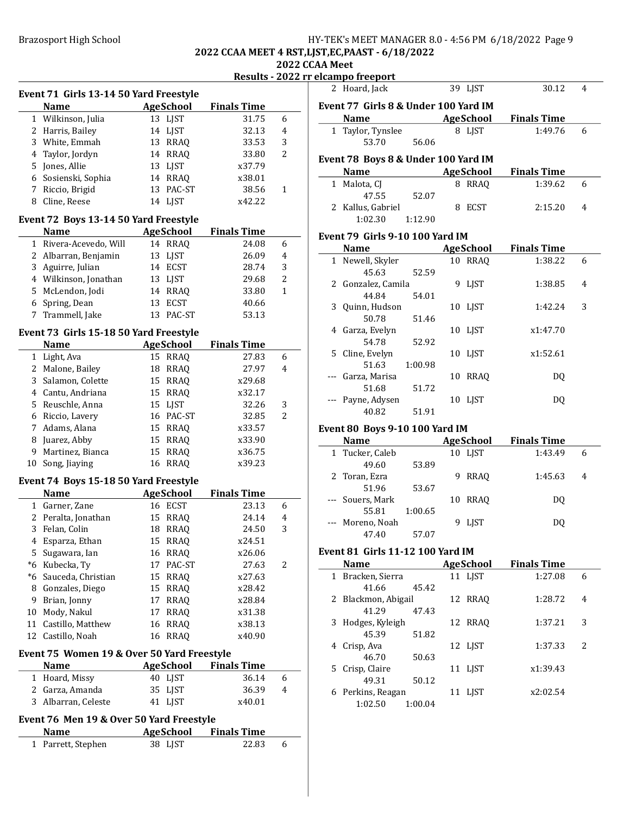# Brazosport High School **HY-TEK's MEET MANAGER 8.0 - 4:56 PM 6/18/2022** Page 9 2022 CCAA MEET 4 RST,LJST,EC,PAAST - 6/18/2022

2022 CCAA Meet

| Results - 2022 rr elcampo freeport |  |  |  |
|------------------------------------|--|--|--|
|                                    |  |  |  |

| Event 71 Girls 13-14 50 Yard Freestyle |                                                         |                   |                    |   |  |  |
|----------------------------------------|---------------------------------------------------------|-------------------|--------------------|---|--|--|
|                                        | <b>Name</b>                                             | <b>AgeSchool</b>  | <b>Finals Time</b> |   |  |  |
|                                        | 1 Wilkinson, Julia                                      | 13 LJST           | 31.75              | 6 |  |  |
|                                        | 2 Harris, Bailey                                        | 14 LJST           | 32.13              | 4 |  |  |
| 3                                      | White, Emmah                                            | 13 RRAQ           | 33.53              | 3 |  |  |
|                                        | 4 Taylor, Jordyn                                        | 14 RRAQ           | 33.80              | 2 |  |  |
|                                        | 5 Jones, Allie                                          | <b>LJST</b><br>13 | x37.79             |   |  |  |
|                                        | 6 Sosienski, Sophia                                     | 14<br><b>RRAQ</b> | x38.01             |   |  |  |
|                                        | 7 Riccio, Brigid                                        | 13<br>PAC-ST      | 38.56              | 1 |  |  |
| 8                                      | Cline, Reese                                            | 14<br><b>LJST</b> | x42.22             |   |  |  |
|                                        | Event 72 Boys 13-14 50 Yard Freestyle                   |                   |                    |   |  |  |
|                                        | <b>Name</b>                                             | <b>AgeSchool</b>  | <b>Finals Time</b> |   |  |  |
|                                        | 1 Rivera-Acevedo, Will                                  | 14 RRAQ           | 24.08              | 6 |  |  |
|                                        | 2 Albarran, Benjamin                                    | 13 LJST           | 26.09              | 4 |  |  |
|                                        | 3 Aguirre, Julian                                       | 14 ECST           | 28.74              | 3 |  |  |
|                                        | 4 Wilkinson, Jonathan                                   | 13 LJST           | 29.68              | 2 |  |  |
|                                        | 5 McLendon, Jodi                                        | 14 RRAQ           | 33.80              | 1 |  |  |
| 6                                      | Spring, Dean                                            | <b>ECST</b><br>13 | 40.66              |   |  |  |
| 7                                      | Trammell, Jake                                          | 13<br>PAC-ST      | 53.13              |   |  |  |
|                                        |                                                         |                   |                    |   |  |  |
|                                        | Event 73 Girls 15-18 50 Yard Freestyle<br><b>Name</b>   | <b>AgeSchool</b>  | <b>Finals Time</b> |   |  |  |
|                                        | 1 Light, Ava                                            | 15<br>RRAQ        | 27.83              | 6 |  |  |
|                                        | 2 Malone, Bailey                                        | <b>RRAQ</b><br>18 | 27.97              | 4 |  |  |
|                                        |                                                         |                   |                    |   |  |  |
| 3                                      | Salamon, Colette                                        | 15 RRAQ           | x29.68             |   |  |  |
|                                        | 4 Cantu, Andriana                                       | 15<br>RRAQ        | x32.17             |   |  |  |
|                                        | 5 Reuschle, Anna                                        | 15 LJST           | 32.26              | 3 |  |  |
|                                        | 6 Riccio, Lavery                                        | 16 PAC-ST         | 32.85              | 2 |  |  |
|                                        | 7 Adams, Alana                                          | 15 RRAQ           | x33.57             |   |  |  |
|                                        | 8 Juarez, Abby                                          | 15<br>RRAQ        | x33.90             |   |  |  |
|                                        | 9 Martinez, Bianca                                      | 15<br><b>RRAQ</b> | x36.75             |   |  |  |
| 10                                     | Song, Jiaying                                           | <b>RRAQ</b><br>16 | x39.23             |   |  |  |
|                                        | Event 74 Boys 15-18 50 Yard Freestyle                   |                   |                    |   |  |  |
|                                        | <b>Name</b>                                             | <b>AgeSchool</b>  | <b>Finals Time</b> |   |  |  |
|                                        | 1 Garner, Zane                                          | 16 ECST           | 23.13              | 6 |  |  |
|                                        | 2 Peralta, Jonathan                                     | 15<br><b>RRAQ</b> | 24.14              | 4 |  |  |
| 3                                      | Felan, Colin                                            | 18<br><b>RRAQ</b> | 24.50              | 3 |  |  |
| 4                                      | Esparza, Ethan                                          | 15<br><b>RRAQ</b> | x24.51             |   |  |  |
| 5                                      | Sugawara, Ian                                           | 16 RRAQ           | x26.06             |   |  |  |
|                                        | *6 Kubecka, Ty                                          | 17<br>PAC-ST      | 27.63              | 2 |  |  |
|                                        | *6 Sauceda, Christian                                   | 15<br>RRAQ        | x27.63             |   |  |  |
|                                        |                                                         |                   |                    |   |  |  |
|                                        | 8 Gonzales, Diego                                       | 15 RRAQ           | x28.42             |   |  |  |
| 9                                      | Brian, Jonny                                            | <b>RRAQ</b><br>17 | x28.84             |   |  |  |
| 10                                     | Mody, Nakul                                             | RRAQ<br>17        | x31.38             |   |  |  |
|                                        | 11 Castillo, Matthew                                    | <b>RRAQ</b><br>16 | x38.13             |   |  |  |
| 12                                     | Castillo, Noah                                          | <b>RRAQ</b><br>16 | x40.90             |   |  |  |
|                                        | Event 75 Women 19 & Over 50 Yard Freestyle              |                   |                    |   |  |  |
|                                        | Name                                                    | <b>AgeSchool</b>  | <b>Finals Time</b> |   |  |  |
| 1                                      | Hoard, Missy                                            | 40 LJST           | 36.14              | 6 |  |  |
| 2                                      | Garza, Amanda                                           | 35<br>LJST        | 36.39              | 4 |  |  |
| 3                                      | Albarran, Celeste                                       | 41<br>LJST        | x40.01             |   |  |  |
|                                        |                                                         |                   |                    |   |  |  |
|                                        | Event 76 Men 19 & Over 50 Yard Freestyle<br><b>Name</b> | <b>AgeSchool</b>  | <b>Finals Time</b> |   |  |  |

|                                | лениро и сероге                        |         |   |             |                                        |   |  |  |
|--------------------------------|----------------------------------------|---------|---|-------------|----------------------------------------|---|--|--|
|                                | 2 Hoard, Jack                          |         |   | 39 LJST     | 30.12                                  | 4 |  |  |
|                                | Event 77 Girls 8 & Under 100 Yard IM   |         |   |             |                                        |   |  |  |
|                                | <b>Name</b>                            |         |   |             | <b>Example 2 AgeSchool</b> Finals Time |   |  |  |
|                                | 1 Taylor, Tynslee                      |         |   | 8 LJST      | 1:49.76                                | 6 |  |  |
|                                | 53.70                                  | 56.06   |   |             |                                        |   |  |  |
|                                | Event 78 Boys 8 & Under 100 Yard IM    |         |   |             |                                        |   |  |  |
|                                | <b>Name</b>                            |         |   | AgeSchool   | <b>Finals Time</b>                     |   |  |  |
|                                | 1 Malota, CJ                           |         |   | 8 RRAQ      | 1:39.62                                | 6 |  |  |
|                                | 47.55                                  | 52.07   |   |             |                                        |   |  |  |
|                                | 2 Kallus, Gabriel                      |         |   | 8 ECST      | 2:15.20                                | 4 |  |  |
|                                | $1:02.30$ $1:12.90$                    |         |   |             |                                        |   |  |  |
|                                | <b>Event 79 Girls 9-10 100 Yard IM</b> |         |   |             |                                        |   |  |  |
|                                | Name AgeSchool                         |         |   |             | <b>Finals Time</b>                     |   |  |  |
|                                | 1 Newell, Skyler                       |         |   | 10 RRAQ     | 1:38.22                                | 6 |  |  |
|                                | 45.63                                  | 52.59   |   |             |                                        |   |  |  |
|                                | 2 Gonzalez, Camila                     |         |   | 9 LJST      | 1:38.85                                | 4 |  |  |
|                                | 44.84                                  | 54.01   |   |             |                                        |   |  |  |
|                                | 3 Quinn, Hudson                        |         |   | 10 LIST     | 1:42.24                                | 3 |  |  |
|                                | 50.78                                  | 51.46   |   |             |                                        |   |  |  |
|                                | 4 Garza, Evelyn                        |         |   | 10 LIST     | x1:47.70                               |   |  |  |
|                                | 54.78                                  | 52.92   |   |             |                                        |   |  |  |
|                                | 5 Cline, Evelyn                        |         |   | 10 LJST     | x1:52.61                               |   |  |  |
|                                | 51.63                                  | 1:00.98 |   |             |                                        |   |  |  |
|                                | --- Garza, Marisa                      |         |   | 10 RRAQ     | DQ                                     |   |  |  |
|                                | 51.68                                  | 51.72   |   |             |                                        |   |  |  |
|                                | --- Payne, Adysen                      |         |   | 10 LJST     | DQ                                     |   |  |  |
|                                | 40.82                                  | 51.91   |   |             |                                        |   |  |  |
| Event 80 Boys 9-10 100 Yard IM |                                        |         |   |             |                                        |   |  |  |
|                                | <b>Name</b>                            |         |   | AgeSchool   | <b>Finals Time</b>                     |   |  |  |
|                                | 1 Tucker, Caleb                        |         |   | 10 LJST     | 1:43.49                                | 6 |  |  |
|                                | 49.60                                  | 53.89   |   |             |                                        |   |  |  |
|                                | 2 Toran, Ezra                          |         | 9 | <b>RRAQ</b> | 1:45.63                                | 4 |  |  |
|                                | 51.96                                  | 53.67   |   |             |                                        |   |  |  |

#### Event 79 Girls 9-10 100 Yard IM

|                                 | 1 Newell, Skyler   |         |    | 10 RRAO     | 1:38.22  | 6 |  |
|---------------------------------|--------------------|---------|----|-------------|----------|---|--|
|                                 | 45.63              | 52.59   |    |             |          |   |  |
|                                 | 2 Gonzalez, Camila |         | 9  | <b>LIST</b> | 1:38.85  | 4 |  |
|                                 | 44.84              | 54.01   |    |             |          |   |  |
| 3                               | Quinn, Hudson      |         |    | 10 LIST     | 1:42.24  | 3 |  |
|                                 | 50.78              | 51.46   |    |             |          |   |  |
| 4                               | Garza, Evelyn      |         |    | 10 LJST     | x1:47.70 |   |  |
|                                 | 54.78              | 52.92   |    |             |          |   |  |
| 5.                              | Cline, Evelyn      |         |    | 10 LIST     | x1:52.61 |   |  |
|                                 | 51.63              | 1:00.98 |    |             |          |   |  |
|                                 | Garza, Marisa      |         | 10 | <b>RRAO</b> | DO.      |   |  |
|                                 | 51.68              | 51.72   |    |             |          |   |  |
|                                 | Payne, Adysen      |         |    | 10 LIST     | DO.      |   |  |
|                                 | 40.82              | 51.91   |    |             |          |   |  |
| Event 80  Bovs 9-10 100 Yard IM |                    |         |    |             |          |   |  |

# $\overline{\phantom{0}}$ 51.96 53.67 --- Souers, Mark 10 RRAQ DQ 55.81 1:00.65 --- Moreno, Noah 9 LJST DQ 47.40 57.07

# Event 81 Girls 11-12 100 Yard IM

| <b>Name</b>     |         |                                                                                    | <b>Finals Time</b>                                                          |                          |
|-----------------|---------|------------------------------------------------------------------------------------|-----------------------------------------------------------------------------|--------------------------|
|                 |         |                                                                                    | 1:27.08                                                                     | 6                        |
| 41.66           | 45.42   |                                                                                    |                                                                             |                          |
|                 |         |                                                                                    | 1:28.72                                                                     | 4                        |
| 41.29           | 47.43   |                                                                                    |                                                                             |                          |
|                 |         |                                                                                    | 1:37.21                                                                     | 3                        |
| 45.39           | 51.82   |                                                                                    |                                                                             |                          |
| 4 Crisp, Ava    |         |                                                                                    | 1:37.33                                                                     | $\overline{\mathcal{L}}$ |
| 46.70           | 50.63   |                                                                                    |                                                                             |                          |
| 5 Crisp, Claire |         |                                                                                    | x1:39.43                                                                    |                          |
| 49.31           | 50.12   |                                                                                    |                                                                             |                          |
|                 |         |                                                                                    | x2:02.54                                                                    |                          |
| 1:02.50         | 1:00.04 |                                                                                    |                                                                             |                          |
|                 |         | 1 Bracken, Sierra<br>2 Blackmon, Abigail<br>3 Hodges, Kyleigh<br>6 Perkins, Reagan | AgeSchool<br>11 LJST<br>12 RRAO<br>12 RRAO<br>12 LIST<br>11 LIST<br>11 LIST |                          |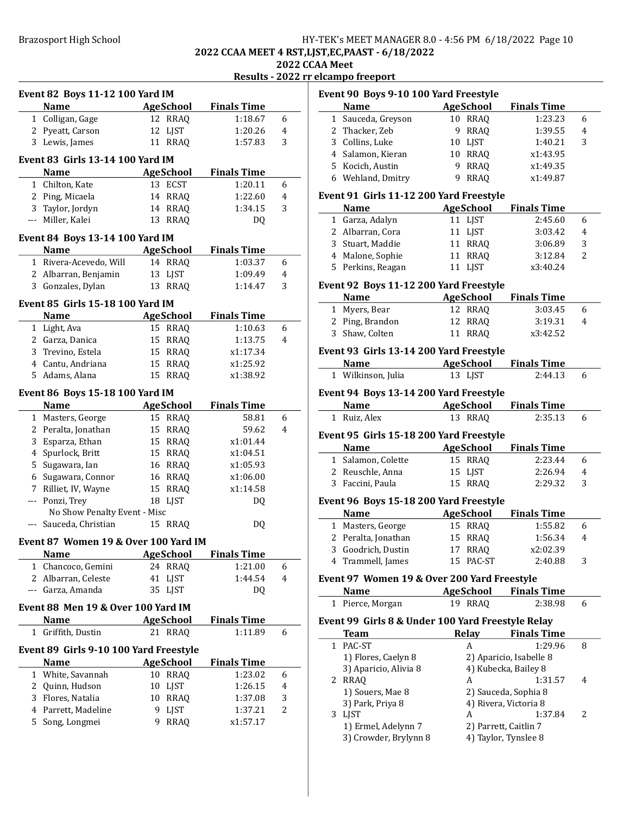# Brazosport High School **HY-TEK's MEET MANAGER 8.0 - 4:56 PM 6/18/2022** Page 10 2022 CCAA MEET 4 RST,LJST,EC,PAAST - 6/18/2022

2022 CCAA Meet

| Results - 2022 rr elcampo freeport |
|------------------------------------|
|                                    |

| Event 82 Boys 11-12 100 Yard IM    |                                         |    |                             |                               |   |  |
|------------------------------------|-----------------------------------------|----|-----------------------------|-------------------------------|---|--|
|                                    | <b>Name</b>                             |    | AgeSchool                   | <b>Finals Time</b>            |   |  |
|                                    | 1 Colligan, Gage                        |    | 12 RRAQ                     | 1:18.67                       | 6 |  |
|                                    | 2 Pyeatt, Carson                        | 12 | <b>LJST</b>                 | 1:20.26                       | 4 |  |
|                                    | 3 Lewis, James                          |    | 11 RRAQ                     | 1:57.83                       | 3 |  |
|                                    | <b>Event 83 Girls 13-14 100 Yard IM</b> |    |                             |                               |   |  |
|                                    |                                         |    |                             |                               |   |  |
|                                    | <b>Name</b>                             |    | <b>AgeSchool</b><br>13 ECST | <b>Finals Time</b><br>1:20.11 | 6 |  |
|                                    | 1 Chilton, Kate<br>2 Ping, Micaela      |    | 14 RRAQ                     | 1:22.60                       | 4 |  |
|                                    | 3 Taylor, Jordyn                        |    | 14 RRAQ                     | 1:34.15                       | 3 |  |
|                                    | --- Miller, Kalei                       |    | 13 RRAQ                     | DQ                            |   |  |
|                                    |                                         |    |                             |                               |   |  |
|                                    | Event 84 Boys 13-14 100 Yard IM         |    |                             |                               |   |  |
|                                    | Name                                    |    | <b>AgeSchool</b>            | <b>Finals Time</b>            |   |  |
|                                    | 1 Rivera-Acevedo, Will                  |    | 14 RRAQ                     | 1:03.37                       | 6 |  |
|                                    | 2 Albarran, Benjamin                    |    | 13 LJST                     | 1:09.49                       | 4 |  |
|                                    | 3 Gonzales, Dylan                       |    | 13 RRAQ                     | 1:14.47                       | 3 |  |
|                                    | Event 85 Girls 15-18 100 Yard IM        |    |                             |                               |   |  |
|                                    | <b>Name</b>                             |    | AgeSchool                   | <b>Finals Time</b>            |   |  |
|                                    | 1 Light, Ava                            |    | 15 RRAQ                     | 1:10.63                       | 6 |  |
|                                    | 2 Garza, Danica                         |    | 15 RRAQ                     | 1:13.75                       | 4 |  |
|                                    | 3 Trevino, Estela                       |    | 15 RRAQ                     | x1:17.34                      |   |  |
|                                    | 4 Cantu, Andriana                       |    | 15 RRAQ                     | x1:25.92                      |   |  |
|                                    | 5 Adams, Alana                          |    | 15 RRAQ                     | x1:38.92                      |   |  |
|                                    | Event 86 Boys 15-18 100 Yard IM         |    |                             |                               |   |  |
|                                    | <b>Name</b>                             |    | <b>AgeSchool</b>            | <b>Finals Time</b>            |   |  |
|                                    | 1 Masters, George                       |    | 15 RRAQ                     | 58.81                         | 6 |  |
|                                    | 2 Peralta, Jonathan                     |    | 15 RRAQ                     | 59.62                         | 4 |  |
|                                    | 3 Esparza, Ethan                        |    | 15 RRAQ                     | x1:01.44                      |   |  |
|                                    | 4 Spurlock, Britt                       |    | 15 RRAQ                     | x1:04.51                      |   |  |
|                                    | 5 Sugawara, Ian                         |    | 16 RRAQ                     | x1:05.93                      |   |  |
|                                    | 6 Sugawara, Connor                      |    | 16 RRAQ                     | x1:06.00                      |   |  |
|                                    | 7 Rilliet, IV, Wayne                    |    | 15 RRAQ                     | x1:14.58                      |   |  |
|                                    | --- Ponzi, Trey                         |    | 18 LJST                     | DQ                            |   |  |
|                                    | No Show Penalty Event - Misc            |    |                             |                               |   |  |
|                                    | --- Sauceda, Christian                  |    | 15 RRAQ                     | DQ                            |   |  |
|                                    | Event 87 Women 19 & Over 100 Yard IM    |    |                             |                               |   |  |
|                                    | <b>Name</b>                             |    | <b>AgeSchool</b>            | <b>Finals Time</b>            |   |  |
| 1                                  | Chancoco, Gemini                        |    | 24 RRAQ                     | 1:21.00                       | 6 |  |
|                                    | 2 Albarran, Celeste                     | 41 | <b>LJST</b>                 | 1:44.54                       | 4 |  |
|                                    | --- Garza, Amanda                       | 35 | <b>LJST</b>                 | D <sub>0</sub>                |   |  |
|                                    |                                         |    |                             |                               |   |  |
| Event 88 Men 19 & Over 100 Yard IM |                                         |    |                             |                               |   |  |
|                                    | Name                                    |    | <b>AgeSchool</b>            | <b>Finals Time</b>            |   |  |
| 1                                  | Griffith, Dustin                        |    | 21 RRAQ                     | 1:11.89                       | 6 |  |
|                                    | Event 89 Girls 9-10 100 Yard Freestyle  |    |                             |                               |   |  |
|                                    | <b>Name</b>                             |    | <b>AgeSchool</b>            | <b>Finals Time</b>            |   |  |
|                                    | 1 White, Savannah                       | 10 | <b>RRAQ</b>                 | 1:23.02                       | 6 |  |
|                                    | 2 Quinn, Hudson                         | 10 | LJST                        | 1:26.15                       | 4 |  |
| 3                                  | Flores, Natalia                         |    | 10 RRAQ                     | 1:37.08                       | 3 |  |
|                                    | 4 Parrett, Madeline                     | 9  | <b>LJST</b>                 | 1:37.21                       | 2 |  |
| 5                                  | Song, Longmei                           | 9. | <b>RRAQ</b>                 | x1:57.17                      |   |  |
|                                    |                                         |    |                             |                               |   |  |

|                                                                 | Event 90 Boys 9-10 100 Yard Freestyle       |                  |                         |   |  |  |  |  |
|-----------------------------------------------------------------|---------------------------------------------|------------------|-------------------------|---|--|--|--|--|
|                                                                 | <b>Name</b>                                 | <b>AgeSchool</b> | <b>Finals Time</b>      |   |  |  |  |  |
| $\mathbf{1}$                                                    | Sauceda, Greyson                            | 10 RRAQ          | 1:23.23                 | 6 |  |  |  |  |
|                                                                 | 2 Thacker, Zeb                              | 9<br><b>RRAQ</b> | 1:39.55                 | 4 |  |  |  |  |
|                                                                 | 3 Collins, Luke                             | 10 LJST          | 1:40.21                 | 3 |  |  |  |  |
|                                                                 | 4 Salamon, Kieran                           | 10 RRAQ          | x1:43.95                |   |  |  |  |  |
|                                                                 | 5 Kocich, Austin                            | 9 RRAQ           | x1:49.35                |   |  |  |  |  |
|                                                                 | 6 Wehland, Dmitry                           | <b>RRAQ</b><br>9 | x1:49.87                |   |  |  |  |  |
|                                                                 | Event 91 Girls 11-12 200 Yard Freestyle     |                  |                         |   |  |  |  |  |
|                                                                 | <b>Name</b>                                 | <b>AgeSchool</b> | <b>Finals Time</b>      |   |  |  |  |  |
|                                                                 | 1 Garza, Adalyn                             | 11 LJST          | 2:45.60                 | 6 |  |  |  |  |
|                                                                 | 2 Albarran, Cora                            | 11 LJST          | 3:03.42                 | 4 |  |  |  |  |
|                                                                 | 3 Stuart, Maddie                            | 11 RRAQ          | 3:06.89                 | 3 |  |  |  |  |
|                                                                 | 4 Malone, Sophie                            | 11 RRAQ          | 3:12.84                 | 2 |  |  |  |  |
|                                                                 | 5 Perkins, Reagan                           | 11 LJST          | x3:40.24                |   |  |  |  |  |
|                                                                 |                                             |                  |                         |   |  |  |  |  |
|                                                                 | Event 92 Boys 11-12 200 Yard Freestyle      |                  |                         |   |  |  |  |  |
|                                                                 | <b>Name</b>                                 | <b>AgeSchool</b> | <b>Finals Time</b>      |   |  |  |  |  |
|                                                                 | 1 Myers, Bear                               | 12 RRAQ          | 3:03.45                 | 6 |  |  |  |  |
|                                                                 | 2 Ping, Brandon                             | 12 RRAQ          | 3:19.31                 | 4 |  |  |  |  |
|                                                                 | 3 Shaw, Colten                              | 11 RRAQ          | x3:42.52                |   |  |  |  |  |
|                                                                 | Event 93 Girls 13-14 200 Yard Freestyle     |                  |                         |   |  |  |  |  |
|                                                                 | <b>Name</b>                                 | <b>AgeSchool</b> | <b>Finals Time</b>      |   |  |  |  |  |
|                                                                 | 1 Wilkinson, Julia                          | 13 LJST          | 2:44.13                 | 6 |  |  |  |  |
|                                                                 |                                             |                  |                         |   |  |  |  |  |
| Event 94 Boys 13-14 200 Yard Freestyle<br>AgeSchool Finals Time |                                             |                  |                         |   |  |  |  |  |
|                                                                 | <b>Name</b><br>1 Ruiz, Alex                 |                  | 2:35.13                 | 6 |  |  |  |  |
| 13 RRAQ                                                         |                                             |                  |                         |   |  |  |  |  |
|                                                                 | Event 95 Girls 15-18 200 Yard Freestyle     |                  |                         |   |  |  |  |  |
|                                                                 | <b>Name</b>                                 | AgeSchool        | <b>Finals Time</b>      |   |  |  |  |  |
|                                                                 | 1 Salamon, Colette                          | 15 RRAQ          | 2:23.44                 | 6 |  |  |  |  |
|                                                                 | 2 Reuschle, Anna                            | 15 LJST          | 2:26.94                 | 4 |  |  |  |  |
|                                                                 | 3 Faccini, Paula                            | 15 RRAQ          | 2:29.32                 | 3 |  |  |  |  |
|                                                                 | Event 96 Boys 15-18 200 Yard Freestyle      |                  |                         |   |  |  |  |  |
|                                                                 | <b>Name</b>                                 | <b>AgeSchool</b> | <b>Finals Time</b>      |   |  |  |  |  |
|                                                                 | 1 Masters, George                           | 15 RRAQ          | 1:55.82                 | 6 |  |  |  |  |
|                                                                 | 2 Peralta, Jonathan                         | 15 RRAQ          | 1:56.34                 | 4 |  |  |  |  |
|                                                                 | 3 Goodrich, Dustin                          | 17 RRAQ          | x2:02.39                |   |  |  |  |  |
| 4                                                               | Trammell, James                             | 15 PAC-ST        | 2:40.88                 | 3 |  |  |  |  |
|                                                                 | Event 97 Women 19 & Over 200 Yard Freestyle |                  |                         |   |  |  |  |  |
|                                                                 | Name                                        | <b>AgeSchool</b> | <b>Finals Time</b>      |   |  |  |  |  |
|                                                                 | 1 Pierce, Morgan                            | 19 RRAQ          | 2:38.98                 | 6 |  |  |  |  |
|                                                                 |                                             |                  |                         |   |  |  |  |  |
| Event 99 Girls 8 & Under 100 Yard Freestyle Relay               |                                             |                  |                         |   |  |  |  |  |
|                                                                 | <b>Team</b>                                 | <b>Relay</b>     | <b>Finals Time</b>      |   |  |  |  |  |
| $\mathbf{1}$                                                    | PAC-ST                                      | A                | 1:29.96                 | 8 |  |  |  |  |
|                                                                 | 1) Flores, Caelyn 8                         |                  | 2) Aparicio, Isabelle 8 |   |  |  |  |  |
|                                                                 | 3) Aparicio, Alivia 8                       |                  | 4) Kubecka, Bailey 8    |   |  |  |  |  |
|                                                                 | 2 RRAQ                                      | A                | 1:31.57                 | 4 |  |  |  |  |
|                                                                 | 1) Souers, Mae 8                            |                  | 2) Sauceda, Sophia 8    |   |  |  |  |  |
|                                                                 | 3) Park, Priya 8                            |                  | 4) Rivera, Victoria 8   |   |  |  |  |  |
|                                                                 | 3 LJST                                      | A                | 1:37.84                 | 2 |  |  |  |  |
|                                                                 | 1) Ermel, Adelynn 7                         |                  | 2) Parrett, Caitlin 7   |   |  |  |  |  |
|                                                                 | 3) Crowder, Brylynn 8                       |                  | 4) Taylor, Tynslee 8    |   |  |  |  |  |
|                                                                 |                                             |                  |                         |   |  |  |  |  |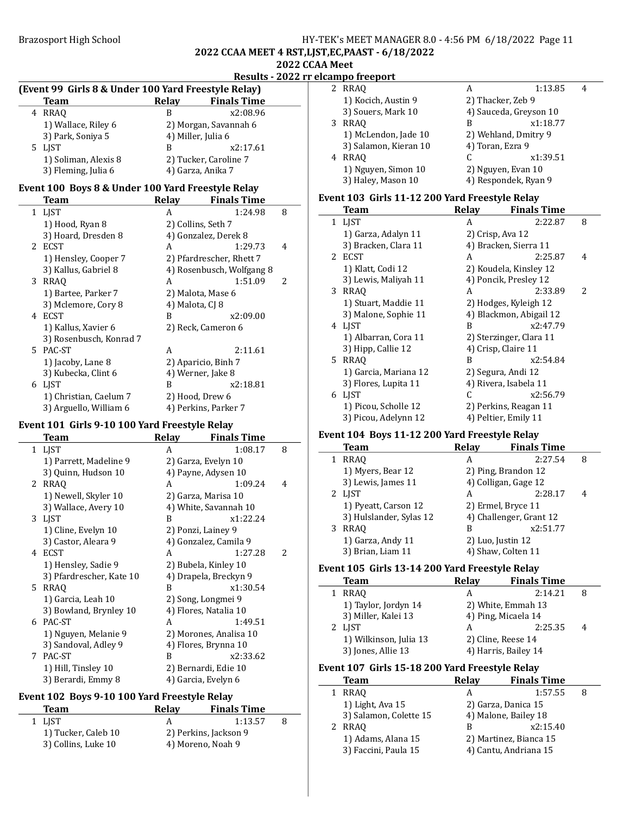### Brazosport High School **HY-TEK's MEET MANAGER 8.0 - 4:56 PM 6/18/2022** Page 11 2022 CCAA MEET 4 RST,LJST,EC,PAAST - 6/18/2022 2022 CCAA Meet

#### Results - 2022 rr elcampo freeport

|    | <b>Team</b>                                       | <b>Relay</b>    | <b>Finals Time</b>        |   |
|----|---------------------------------------------------|-----------------|---------------------------|---|
| 4  | <b>RRAO</b>                                       | B               | x2:08.96                  |   |
|    | 1) Wallace, Riley 6                               |                 | 2) Morgan, Savannah 6     |   |
|    | 3) Park, Soniya 5                                 |                 | 4) Miller, Julia 6        |   |
| 5. | LIST                                              | B               | x2:17.61                  |   |
|    | 1) Soliman, Alexis 8                              |                 | 2) Tucker, Caroline 7     |   |
|    | 3) Fleming, Julia 6                               |                 | 4) Garza, Anika 7         |   |
|    | Event 100 Boys 8 & Under 100 Yard Freestyle Relay |                 |                           |   |
|    | <b>Team</b>                                       | Relay           | <b>Finals Time</b>        |   |
|    | 1 LJST                                            | A               | 1:24.98                   | 8 |
|    | 1) Hood, Ryan 8                                   |                 | 2) Collins, Seth 7        |   |
|    | 3) Hoard, Dresden 8                               |                 | 4) Gonzalez, Derek 8      |   |
| 2  | ECST                                              | A               | 1:29.73                   | 4 |
|    | 1) Hensley, Cooper 7                              |                 | 2) Pfardrescher, Rhett 7  |   |
|    | 3) Kallus, Gabriel 8                              |                 | 4) Rosenbusch, Wolfgang 8 |   |
| 3  | <b>RRAO</b>                                       | A               | 1:51.09                   | 2 |
|    | 1) Bartee, Parker 7                               |                 | 2) Malota, Mase 6         |   |
|    | 3) Mclemore, Cory 8                               | 4) Malota, CJ 8 |                           |   |
| 4  | <b>ECST</b>                                       | B               | x2:09.00                  |   |
|    | 1) Kallus, Xavier 6                               |                 | 2) Reck, Cameron 6        |   |
|    | 3) Rosenbusch, Konrad 7                           |                 |                           |   |
| 5. | PAC-ST                                            | A               | 2:11.61                   |   |
|    | 1) Jacoby, Lane 8                                 |                 | 2) Aparicio, Binh 7       |   |
|    | 3) Kubecka, Clint 6                               |                 | 4) Werner, Jake 8         |   |
| 6  | LJST                                              | B               | x2:18.81                  |   |
|    | 1) Christian, Caelum 7                            |                 | 2) Hood, Drew 6           |   |
|    | 3) Arguello, William 6                            |                 | 4) Perkins, Parker 7      |   |

(Event 99 Girls 8 & Under 100 Yard Freestyle Relay)

### Event 101 Girls 9-10 100 Yard Freestyle Relay

|           | Team                     | Relay | <b>Finals Time</b>     |   |
|-----------|--------------------------|-------|------------------------|---|
| $1 \quad$ | <b>LIST</b>              | A     | 1:08.17                | 8 |
|           | 1) Parrett, Madeline 9   |       | 2) Garza, Evelyn 10    |   |
|           | 3) Quinn, Hudson 10      |       | 4) Payne, Adysen 10    |   |
| 2         | <b>RRAO</b>              | A     | 1:09.24                | 4 |
|           | 1) Newell, Skyler 10     |       | 2) Garza, Marisa 10    |   |
|           | 3) Wallace, Avery 10     |       | 4) White, Savannah 10  |   |
|           | 3 LJST                   | B     | x1:22.24               |   |
|           | 1) Cline, Evelyn 10      |       | 2) Ponzi, Lainey 9     |   |
|           | 3) Castor, Aleara 9      |       | 4) Gonzalez, Camila 9  |   |
| 4         | <b>ECST</b>              | A     | 1:27.28                | 2 |
|           | 1) Hensley, Sadie 9      |       | 2) Bubela, Kinley 10   |   |
|           | 3) Pfardrescher, Kate 10 |       | 4) Drapela, Breckyn 9  |   |
| 5.        | <b>RRAO</b>              | B     | x1:30.54               |   |
|           | 1) Garcia, Leah 10       |       | 2) Song, Longmei 9     |   |
|           | 3) Bowland, Brynley 10   |       | 4) Flores, Natalia 10  |   |
| 6         | PAC-ST                   | A     | 1:49.51                |   |
|           | 1) Nguyen, Melanie 9     |       | 2) Morones, Analisa 10 |   |
|           | 3) Sandoval, Adley 9     |       | 4) Flores, Brynna 10   |   |
| 7         | PAC-ST                   | B     | x2:33.62               |   |
|           | 1) Hill, Tinsley 10      |       | 2) Bernardi, Edie 10   |   |
|           | 3) Berardi, Emmy 8       |       | 4) Garcia, Evelyn 6    |   |

## Event 102 Boys 9-10 100 Yard Freestyle Relay

| Team                | Relav             | <b>Finals Time</b>    |  |
|---------------------|-------------------|-----------------------|--|
| 1 LIST              |                   | 1:13.57               |  |
| 1) Tucker, Caleb 10 |                   | 2) Perkins, Jackson 9 |  |
| 3) Collins, Luke 10 | 4) Moreno, Noah 9 |                       |  |

|   | 2 RRAO                | А                      | 1:13.85  |  |
|---|-----------------------|------------------------|----------|--|
|   | 1) Kocich, Austin 9   | 2) Thacker, Zeb 9      |          |  |
|   | 3) Souers, Mark 10    | 4) Sauceda, Greyson 10 |          |  |
| 3 | <b>RRAO</b>           | В                      | x1:18.77 |  |
|   | 1) McLendon, Jade 10  | 2) Wehland, Dmitry 9   |          |  |
|   | 3) Salamon, Kieran 10 | 4) Toran, Ezra 9       |          |  |
| 4 | <b>RRAO</b>           |                        | x1:39.51 |  |
|   | 1) Nguyen, Simon 10   | 2) Nguyen, Evan 10     |          |  |
|   | 3) Haley, Mason 10    | 4) Respondek, Ryan 9   |          |  |

### Event 103 Girls 11-12 200 Yard Freestyle Relay

|                | Team                  | Relay                 | <b>Finals Time</b>      |   |
|----------------|-----------------------|-----------------------|-------------------------|---|
|                | 1 LJST                | A                     | 2:22.87                 | 8 |
|                | 1) Garza, Adalyn 11   | 2) Crisp, Ava 12      |                         |   |
|                | 3) Bracken, Clara 11  |                       | 4) Bracken, Sierra 11   |   |
| $\overline{2}$ | <b>ECST</b>           | A                     | 2:25.87                 | 4 |
|                | 1) Klatt, Codi 12     |                       | 2) Koudela, Kinsley 12  |   |
|                | 3) Lewis, Maliyah 11  |                       | 4) Poncik, Presley 12   |   |
| 3              | RRAQ                  | A                     | 2:33.89                 | 2 |
|                | 1) Stuart, Maddie 11  |                       | 2) Hodges, Kyleigh 12   |   |
|                | 3) Malone, Sophie 11  |                       | 4) Blackmon, Abigail 12 |   |
|                | 4 LIST                | B                     | x2:47.79                |   |
|                | 1) Albarran, Cora 11  |                       | 2) Sterzinger, Clara 11 |   |
|                | 3) Hipp, Callie 12    | 4) Crisp, Claire 11   |                         |   |
| 5.             | <b>RRAO</b>           | B                     | x2:54.84                |   |
|                | 1) Garcia, Mariana 12 | 2) Segura, Andi 12    |                         |   |
|                | 3) Flores, Lupita 11  | 4) Rivera, Isabela 11 |                         |   |
| 6              | <b>LIST</b>           | C                     | x2:56.79                |   |
|                | 1) Picou, Scholle 12  |                       | 2) Perkins, Reagan 11   |   |
|                | 3) Picou, Adelynn 12  |                       | 4) Peltier, Emily 11    |   |

#### Event 104 Boys 11-12 200 Yard Freestyle Relay

| <b>Team</b>             | Relay | <b>Finals Time</b>      |   |
|-------------------------|-------|-------------------------|---|
| <b>RRAO</b>             | А     | 2:27.54                 | 8 |
| 1) Myers, Bear 12       |       | 2) Ping, Brandon 12     |   |
| 3) Lewis, James 11      |       | 4) Colligan, Gage 12    |   |
| 2 LIST                  | А     | 2:28.17                 | 4 |
| 1) Pyeatt, Carson 12    |       | 2) Ermel, Bryce 11      |   |
| 3) Hulslander, Sylas 12 |       | 4) Challenger, Grant 12 |   |
| <b>RRAO</b><br>3        | В     | x2:51.77                |   |
| 1) Garza, Andy 11       |       | 2) Luo, Justin 12       |   |
| 3) Brian, Liam 11       |       | 4) Shaw, Colten 11      |   |

### Event 105 Girls 13-14 200 Yard Freestyle Relay

| <b>Team</b>            | Relay              | <b>Finals Time</b>   |   |
|------------------------|--------------------|----------------------|---|
| 1 RRAO                 | А                  | 2:14.21              |   |
| 1) Taylor, Jordyn 14   | 2) White, Emmah 13 |                      |   |
| 3) Miller, Kalei 13    |                    | 4) Ping, Micaela 14  |   |
| 2 LIST                 | А                  | 2:25.35              | 4 |
| 1) Wilkinson, Julia 13 | 2) Cline, Reese 14 |                      |   |
| 3) Jones, Allie 13     |                    | 4) Harris, Bailey 14 |   |

# Event 107 Girls 15-18 200 Yard Freestyle Relay

 $\overline{a}$ 

| Team                   | Relay | <b>Finals Time</b>     |   |
|------------------------|-------|------------------------|---|
| RRAO                   | А     | 1:57.55                | 8 |
| 1) Light, Ava 15       |       | 2) Garza, Danica 15    |   |
| 3) Salamon, Colette 15 |       | 4) Malone, Bailey 18   |   |
| 2 RRAO                 | В     | x2:15.40               |   |
| 1) Adams, Alana 15     |       | 2) Martinez, Bianca 15 |   |
| 3) Faccini, Paula 15   |       | 4) Cantu, Andriana 15  |   |